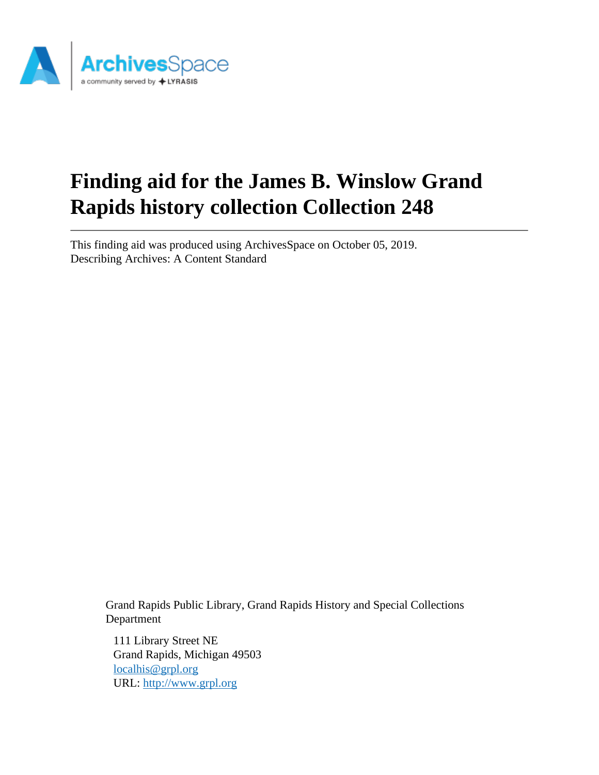

# **Finding aid for the James B. Winslow Grand Rapids history collection Collection 248**

This finding aid was produced using ArchivesSpace on October 05, 2019. Describing Archives: A Content Standard

> Grand Rapids Public Library, Grand Rapids History and Special Collections Department

111 Library Street NE Grand Rapids, Michigan 49503 [localhis@grpl.org](mailto:localhis@grpl.org) URL:<http://www.grpl.org>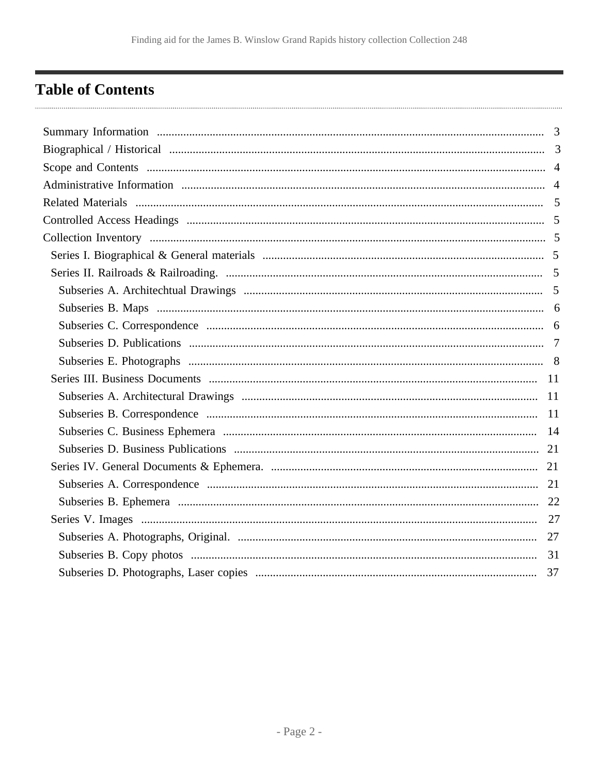# <span id="page-1-0"></span>**Table of Contents**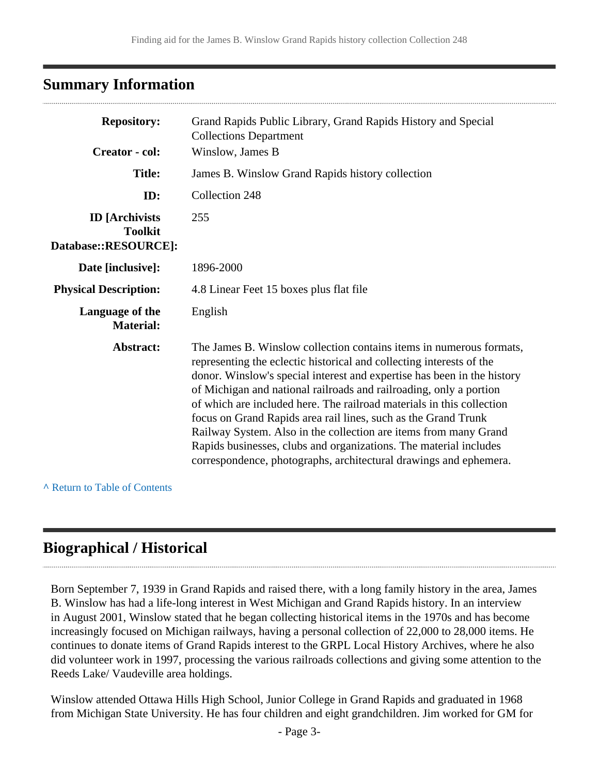## <span id="page-2-0"></span>**Summary Information**

| <b>Repository:</b>                                              | Grand Rapids Public Library, Grand Rapids History and Special<br><b>Collections Department</b>                                                                                                                                                                                                                                                                                                                                                                                                                                                                                                                                                        |
|-----------------------------------------------------------------|-------------------------------------------------------------------------------------------------------------------------------------------------------------------------------------------------------------------------------------------------------------------------------------------------------------------------------------------------------------------------------------------------------------------------------------------------------------------------------------------------------------------------------------------------------------------------------------------------------------------------------------------------------|
| <b>Creator</b> - col:                                           | Winslow, James B                                                                                                                                                                                                                                                                                                                                                                                                                                                                                                                                                                                                                                      |
| <b>Title:</b>                                                   | James B. Winslow Grand Rapids history collection                                                                                                                                                                                                                                                                                                                                                                                                                                                                                                                                                                                                      |
| ID:                                                             | Collection 248                                                                                                                                                                                                                                                                                                                                                                                                                                                                                                                                                                                                                                        |
| <b>ID</b> [Archivists<br><b>Toolkit</b><br>Database::RESOURCE]: | 255                                                                                                                                                                                                                                                                                                                                                                                                                                                                                                                                                                                                                                                   |
| Date [inclusive]:                                               | 1896-2000                                                                                                                                                                                                                                                                                                                                                                                                                                                                                                                                                                                                                                             |
| <b>Physical Description:</b>                                    | 4.8 Linear Feet 15 boxes plus flat file                                                                                                                                                                                                                                                                                                                                                                                                                                                                                                                                                                                                               |
| Language of the<br><b>Material:</b>                             | English                                                                                                                                                                                                                                                                                                                                                                                                                                                                                                                                                                                                                                               |
| Abstract:                                                       | The James B. Winslow collection contains items in numerous formats,<br>representing the eclectic historical and collecting interests of the<br>donor. Winslow's special interest and expertise has been in the history<br>of Michigan and national railroads and railroading, only a portion<br>of which are included here. The railroad materials in this collection<br>focus on Grand Rapids area rail lines, such as the Grand Trunk<br>Railway System. Also in the collection are items from many Grand<br>Rapids businesses, clubs and organizations. The material includes<br>correspondence, photographs, architectural drawings and ephemera. |

**^** [Return to Table of Contents](#page-1-0)

## <span id="page-2-1"></span>**Biographical / Historical**

Born September 7, 1939 in Grand Rapids and raised there, with a long family history in the area, James B. Winslow has had a life-long interest in West Michigan and Grand Rapids history. In an interview in August 2001, Winslow stated that he began collecting historical items in the 1970s and has become increasingly focused on Michigan railways, having a personal collection of 22,000 to 28,000 items. He continues to donate items of Grand Rapids interest to the GRPL Local History Archives, where he also did volunteer work in 1997, processing the various railroads collections and giving some attention to the Reeds Lake/ Vaudeville area holdings.

Winslow attended Ottawa Hills High School, Junior College in Grand Rapids and graduated in 1968 from Michigan State University. He has four children and eight grandchildren. Jim worked for GM for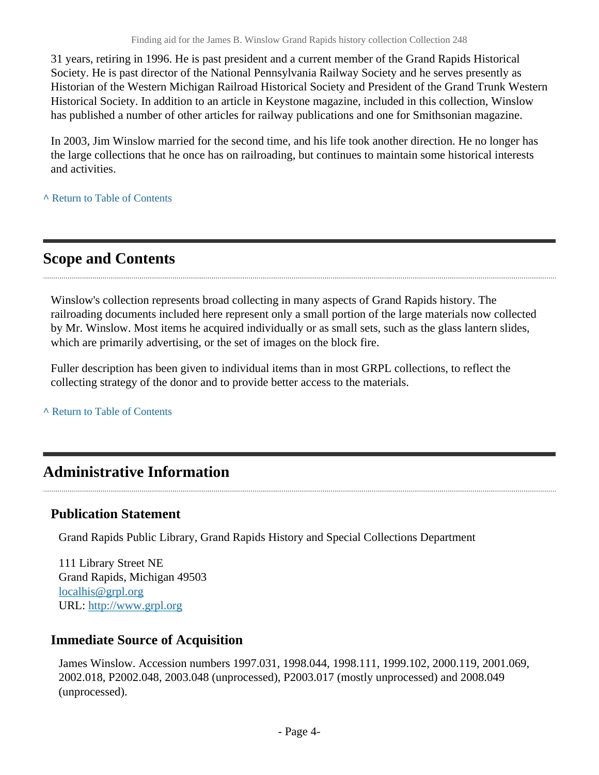31 years, retiring in 1996. He is past president and a current member of the Grand Rapids Historical Society. He is past director of the National Pennsylvania Railway Society and he serves presently as Historian of the Western Michigan Railroad Historical Society and President of the Grand Trunk Western Historical Society. In addition to an article in Keystone magazine, included in this collection, Winslow has published a number of other articles for railway publications and one for Smithsonian magazine.

In 2003, Jim Winslow married for the second time, and his life took another direction. He no longer has the large collections that he once has on railroading, but continues to maintain some historical interests and activities.

**^** [Return to Table of Contents](#page-1-0)

## <span id="page-3-0"></span>**Scope and Contents**

Winslow's collection represents broad collecting in many aspects of Grand Rapids history. The railroading documents included here represent only a small portion of the large materials now collected by Mr. Winslow. Most items he acquired individually or as small sets, such as the glass lantern slides, which are primarily advertising, or the set of images on the block fire.

Fuller description has been given to individual items than in most GRPL collections, to reflect the collecting strategy of the donor and to provide better access to the materials.

**^** [Return to Table of Contents](#page-1-0)

## <span id="page-3-1"></span>**Administrative Information**

### **Publication Statement**

Grand Rapids Public Library, Grand Rapids History and Special Collections Department

111 Library Street NE Grand Rapids, Michigan 49503 [localhis@grpl.org](mailto:localhis@grpl.org) URL:<http://www.grpl.org>

### **Immediate Source of Acquisition**

James Winslow. Accession numbers 1997.031, 1998.044, 1998.111, 1999.102, 2000.119, 2001.069, 2002.018, P2002.048, 2003.048 (unprocessed), P2003.017 (mostly unprocessed) and 2008.049 (unprocessed).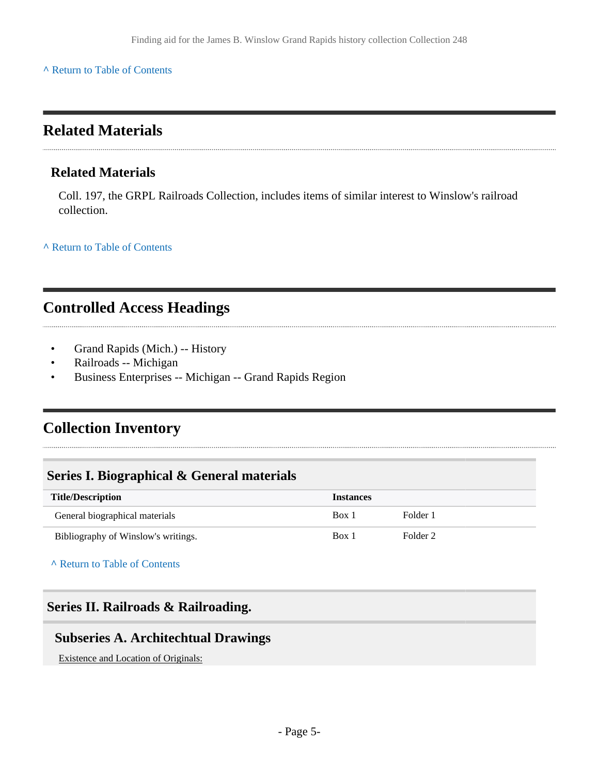#### **^** [Return to Table of Contents](#page-1-0)

## <span id="page-4-0"></span>**Related Materials**

#### **Related Materials**

Coll. 197, the GRPL Railroads Collection, includes items of similar interest to Winslow's railroad collection.

**^** [Return to Table of Contents](#page-1-0)

# <span id="page-4-1"></span>**Controlled Access Headings**

- Grand Rapids (Mich.) -- History
- Railroads -- Michigan
- Business Enterprises -- Michigan -- Grand Rapids Region

## <span id="page-4-2"></span>**Collection Inventory**

### <span id="page-4-3"></span>**Series I. Biographical & General materials**

| <b>Title/Description</b>            | <b>Instances</b> |                     |
|-------------------------------------|------------------|---------------------|
| General biographical materials      | Box 1            | Folder 1            |
| Bibliography of Winslow's writings. | Box 1            | Folder <sub>2</sub> |

**^** [Return to Table of Contents](#page-1-0)

### <span id="page-4-4"></span>**Series II. Railroads & Railroading.**

### <span id="page-4-5"></span>**Subseries A. Architechtual Drawings**

Existence and Location of Originals: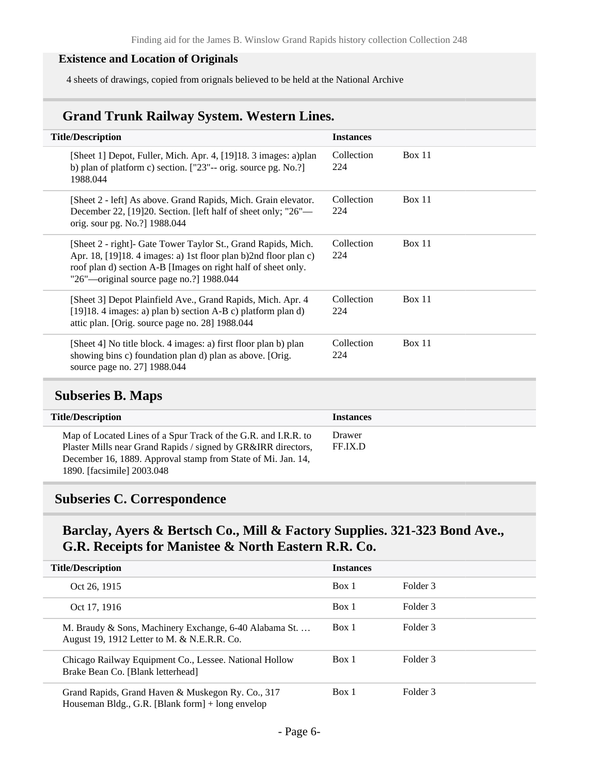#### **Existence and Location of Originals**

4 sheets of drawings, copied from orignals believed to be held at the National Archive

### **Grand Trunk Railway System. Western Lines.**

| <b>Title/Description</b>                                                                                                                                                                                                                         | <b>Instances</b>  |               |
|--------------------------------------------------------------------------------------------------------------------------------------------------------------------------------------------------------------------------------------------------|-------------------|---------------|
| [Sheet 1] Depot, Fuller, Mich. Apr. 4, [19]18. 3 images: a)plan<br>b) plan of platform c) section. $[$ "23"-- orig. source pg. No.?]<br>1988.044                                                                                                 | Collection<br>224 | Box 11        |
| [Sheet 2 - left] As above. Grand Rapids, Mich. Grain elevator.<br>December 22, [19] 20. Section. [left half of sheet only; "26"—<br>orig. sour pg. No.?] 1988.044                                                                                | Collection<br>224 | Box 11        |
| [Sheet 2 - right]- Gate Tower Taylor St., Grand Rapids, Mich.<br>Apr. 18, [19] 18. 4 images: a) 1st floor plan b) 2nd floor plan c)<br>roof plan d) section A-B [Images on right half of sheet only.<br>"26"—original source page no.?] 1988.044 | Collection<br>224 | Box 11        |
| [Sheet 3] Depot Plainfield Ave., Grand Rapids, Mich. Apr. 4<br>[19] 18. 4 images: a) plan b) section $A-B$ c) platform plan d)<br>attic plan. [Orig. source page no. 28] 1988.044                                                                | Collection<br>224 | Box 11        |
| [Sheet 4] No title block. 4 images: a) first floor plan b) plan<br>showing bins c) foundation plan d) plan as above. [Orig.<br>source page no. 27] 1988.044                                                                                      | Collection<br>224 | <b>Box 11</b> |

### <span id="page-5-0"></span>**Subseries B. Maps**

| <b>Title/Description</b>                                                                                                                                                                                                      | <b>Instances</b>  |
|-------------------------------------------------------------------------------------------------------------------------------------------------------------------------------------------------------------------------------|-------------------|
| Map of Located Lines of a Spur Track of the G.R. and I.R.R. to<br>Plaster Mills near Grand Rapids / signed by GR&IRR directors,<br>December 16, 1889. Approval stamp from State of Mi. Jan. 14,<br>1890. [facsimile] 2003.048 | Drawer<br>FF.IX.D |

### <span id="page-5-1"></span>**Subseries C. Correspondence**

## **Barclay, Ayers & Bertsch Co., Mill & Factory Supplies. 321-323 Bond Ave., G.R. Receipts for Manistee & North Eastern R.R. Co.**

| <b>Title/Description</b>                                                                                | <b>Instances</b> |          |
|---------------------------------------------------------------------------------------------------------|------------------|----------|
| Oct 26, 1915                                                                                            | Box 1            | Folder 3 |
| Oct 17, 1916                                                                                            | Box 1            | Folder 3 |
| M. Braudy & Sons, Machinery Exchange, 6-40 Alabama St.<br>August 19, 1912 Letter to M. & N.E.R.R. Co.   | Box 1            | Folder 3 |
| Chicago Railway Equipment Co., Lessee. National Hollow<br>Brake Bean Co. [Blank letterhead]             | Box 1            | Folder 3 |
| Grand Rapids, Grand Haven & Muskegon Ry. Co., 317<br>Houseman Bldg., G.R. [Blank form] $+$ long envelop | Box 1            | Folder 3 |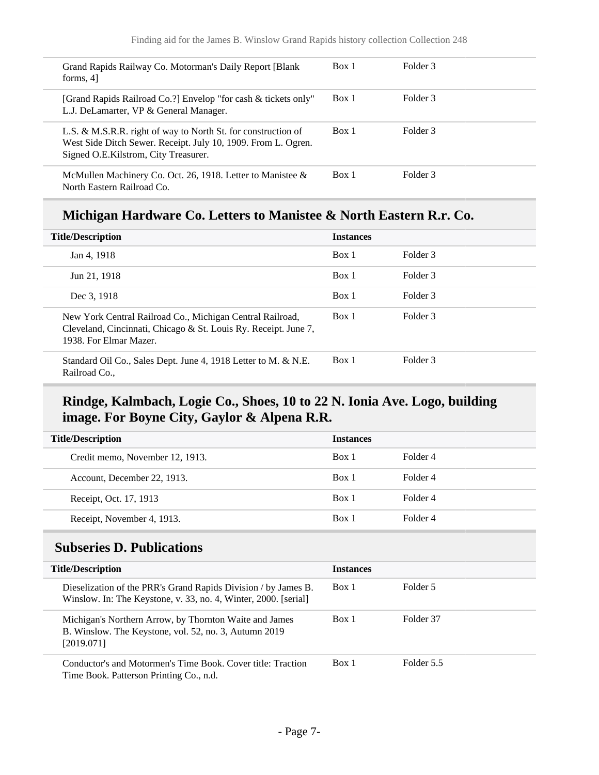| Grand Rapids Railway Co. Motorman's Daily Report [Blank]<br>forms, $4$ ]                                | Box 1 | Folder 3 |
|---------------------------------------------------------------------------------------------------------|-------|----------|
| [Grand Rapids Railroad Co.?] Envelop "for cash & tickets only"                                          | Box 1 | Folder 3 |
| L.J. DeLamarter, VP & General Manager.<br>L.S. & M.S.R.R. right of way to North St. for construction of | Box 1 | Folder 3 |
| West Side Ditch Sewer. Receipt. July 10, 1909. From L. Ogren.<br>Signed O.E.Kilstrom, City Treasurer.   |       |          |
| McMullen Machinery Co. Oct. 26, 1918. Letter to Manistee &<br>North Eastern Railroad Co.                | Box 1 | Folder 3 |

### **Michigan Hardware Co. Letters to Manistee & North Eastern R.r. Co.**

| <b>Title/Description</b>                                                                                                                               | <b>Instances</b> |          |
|--------------------------------------------------------------------------------------------------------------------------------------------------------|------------------|----------|
| Jan 4, 1918                                                                                                                                            | Box 1            | Folder 3 |
| Jun 21, 1918                                                                                                                                           | Box 1            | Folder 3 |
| Dec 3, 1918                                                                                                                                            | Box 1            | Folder 3 |
| New York Central Railroad Co., Michigan Central Railroad,<br>Cleveland, Cincinnati, Chicago & St. Louis Ry. Receipt. June 7,<br>1938. For Elmar Mazer. | Box 1            | Folder 3 |
| Standard Oil Co., Sales Dept. June 4, 1918 Letter to M. & N.E.<br>Railroad Co.,                                                                        | Box 1            | Folder 3 |

## **Rindge, Kalmbach, Logie Co., Shoes, 10 to 22 N. Ionia Ave. Logo, building image. For Boyne City, Gaylor & Alpena R.R.**

| <b>Title/Description</b>        | <b>Instances</b> |          |
|---------------------------------|------------------|----------|
| Credit memo, November 12, 1913. | Box 1            | Folder 4 |
| Account, December 22, 1913.     | Box 1            | Folder 4 |
| Receipt, Oct. 17, 1913          | Box 1            | Folder 4 |
| Receipt, November 4, 1913.      | Box 1            | Folder 4 |

## <span id="page-6-0"></span>**Subseries D. Publications**

| <b>Title/Description</b>                                                                                                          | <b>Instances</b> |            |
|-----------------------------------------------------------------------------------------------------------------------------------|------------------|------------|
| Dieselization of the PRR's Grand Rapids Division / by James B.<br>Winslow. In: The Keystone, v. 33, no. 4, Winter, 2000. [serial] | Box 1            | Folder 5   |
| Michigan's Northern Arrow, by Thornton Waite and James<br>B. Winslow. The Keystone, vol. 52, no. 3, Autumn 2019<br>[2019.071]     | Box 1            | Folder 37  |
| Conductor's and Motormen's Time Book. Cover title: Traction<br>Time Book. Patterson Printing Co., n.d.                            | Box 1            | Folder 5.5 |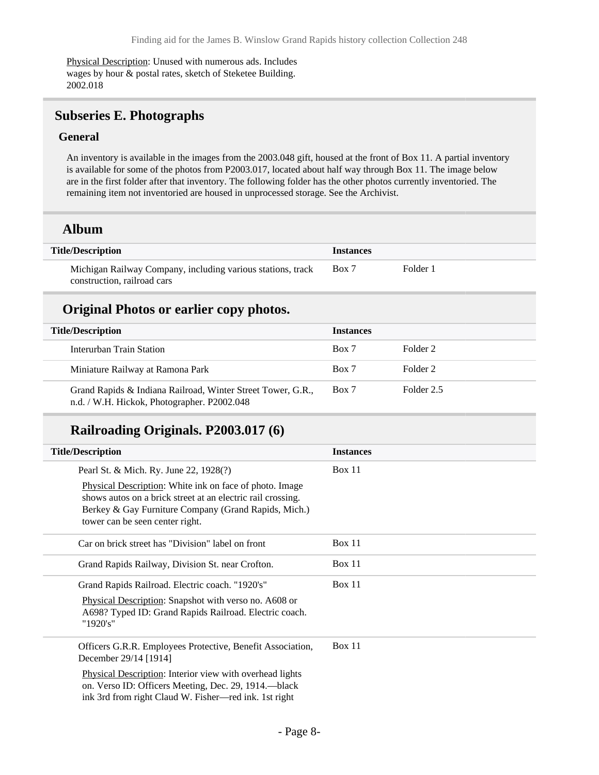Physical Description: Unused with numerous ads. Includes wages by hour & postal rates, sketch of Steketee Building. 2002.018

### <span id="page-7-0"></span>**Subseries E. Photographs**

#### **General**

An inventory is available in the images from the 2003.048 gift, housed at the front of Box 11. A partial inventory is available for some of the photos from P2003.017, located about half way through Box 11. The image below are in the first folder after that inventory. The following folder has the other photos currently inventoried. The remaining item not inventoried are housed in unprocessed storage. See the Archivist.

#### **Album**

| <b>Title/Description</b>                                    | <b>Instances</b> |          |
|-------------------------------------------------------------|------------------|----------|
| Michigan Railway Company, including various stations, track | Box 7            | Folder 1 |
| construction, railroad cars                                 |                  |          |

#### **Original Photos or earlier copy photos.**

| <b>Title/Description</b>                                                                                   | <b>Instances</b> |            |
|------------------------------------------------------------------------------------------------------------|------------------|------------|
| Interurban Train Station                                                                                   | Box 7            | Folder 2   |
| Miniature Railway at Ramona Park                                                                           | Box 7            | Folder 2   |
| Grand Rapids & Indiana Railroad, Winter Street Tower, G.R.,<br>n.d. / W.H. Hickok, Photographer. P2002.048 | Box 7            | Folder 2.5 |

### **Railroading Originals. P2003.017 (6)**

| <b>Title/Description</b>                                                                                                                                                                                          | <b>Instances</b> |
|-------------------------------------------------------------------------------------------------------------------------------------------------------------------------------------------------------------------|------------------|
| Pearl St. & Mich. Ry. June 22, 1928(?)                                                                                                                                                                            | Box 11           |
| Physical Description: White ink on face of photo. Image<br>shows autos on a brick street at an electric rail crossing.<br>Berkey & Gay Furniture Company (Grand Rapids, Mich.)<br>tower can be seen center right. |                  |
| Car on brick street has "Division" label on front                                                                                                                                                                 | Box 11           |
| Grand Rapids Railway, Division St. near Crofton.                                                                                                                                                                  | Box 11           |
| Grand Rapids Railroad. Electric coach. "1920's"                                                                                                                                                                   | Box 11           |
| Physical Description: Snapshot with verso no. A608 or<br>A698? Typed ID: Grand Rapids Railroad. Electric coach.<br>"1920's"                                                                                       |                  |
| Officers G.R.R. Employees Protective, Benefit Association,<br>December 29/14 [1914]                                                                                                                               | Box 11           |
| Physical Description: Interior view with overhead lights<br>on. Verso ID: Officers Meeting, Dec. 29, 1914.—black<br>ink 3rd from right Claud W. Fisher—red ink. 1st right                                         |                  |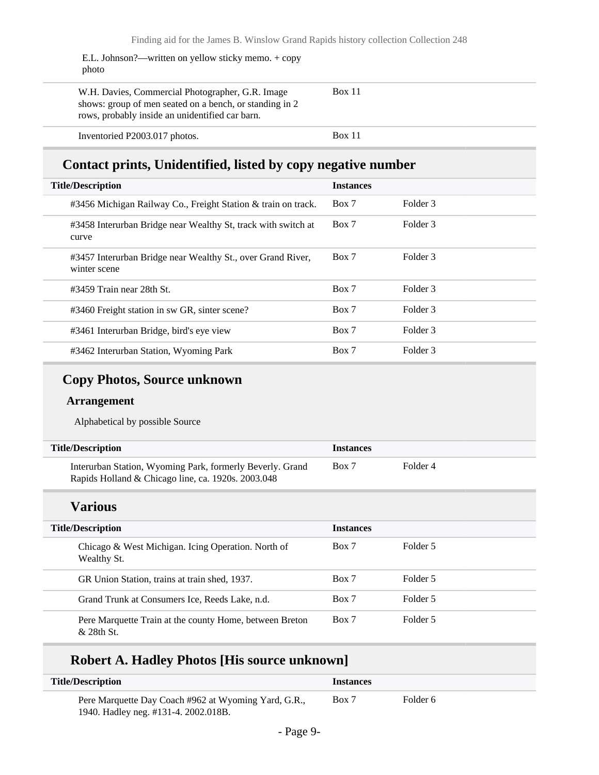E.L. Johnson?—written on yellow sticky memo. + copy photo

| W.H. Davies, Commercial Photographer, G.R. Image<br>shows: group of men seated on a bench, or standing in 2<br>rows, probably inside an unidentified car barn. | <b>Box 11</b> |
|----------------------------------------------------------------------------------------------------------------------------------------------------------------|---------------|
| Inventoried P2003.017 photos.                                                                                                                                  | <b>Box 11</b> |

## **Contact prints, Unidentified, listed by copy negative number**

| <b>Title/Description</b>                                                    | <b>Instances</b> |                     |
|-----------------------------------------------------------------------------|------------------|---------------------|
| #3456 Michigan Railway Co., Freight Station & train on track.               | Box 7            | Folder 3            |
| #3458 Interurban Bridge near Wealthy St, track with switch at<br>curve      | Box 7            | Folder 3            |
| #3457 Interurban Bridge near Wealthy St., over Grand River,<br>winter scene | Box 7            | Folder 3            |
| #3459 Train near 28th St.                                                   | Box 7            | Folder <sub>3</sub> |
| #3460 Freight station in sw GR, sinter scene?                               | Box 7            | Folder 3            |
| #3461 Interurban Bridge, bird's eye view                                    | Box 7            | Folder 3            |
| #3462 Interurban Station, Wyoming Park                                      | Box 7            | Folder 3            |

## **Copy Photos, Source unknown**

#### **Arrangement**

Alphabetical by possible Source

| <b>Title/Description</b>                                  | <b>Instances</b> |          |
|-----------------------------------------------------------|------------------|----------|
| Interurban Station, Wyoming Park, formerly Beverly. Grand | Box 7            | Folder 4 |
| Rapids Holland & Chicago line, ca. 1920s. 2003.048        |                  |          |

## **Various**

| <b>Title/Description</b>                                                | <b>Instances</b> |          |
|-------------------------------------------------------------------------|------------------|----------|
| Chicago & West Michigan. Icing Operation. North of<br>Wealthy St.       | Box 7            | Folder 5 |
| GR Union Station, trains at train shed, 1937.                           | Box 7            | Folder 5 |
| Grand Trunk at Consumers Ice, Reeds Lake, n.d.                          | Box 7            | Folder 5 |
| Pere Marquette Train at the county Home, between Breton<br>$&$ 28th St. | Box 7            | Folder 5 |

### **Robert A. Hadley Photos [His source unknown]**

| <b>Title/Description</b>                                                                     | <i><u><b>Instances</b></u></i> |          |  |
|----------------------------------------------------------------------------------------------|--------------------------------|----------|--|
| Pere Marquette Day Coach #962 at Wyoming Yard, G.R.,<br>1940. Hadley neg. #131-4. 2002.018B. | Box 7                          | Folder 6 |  |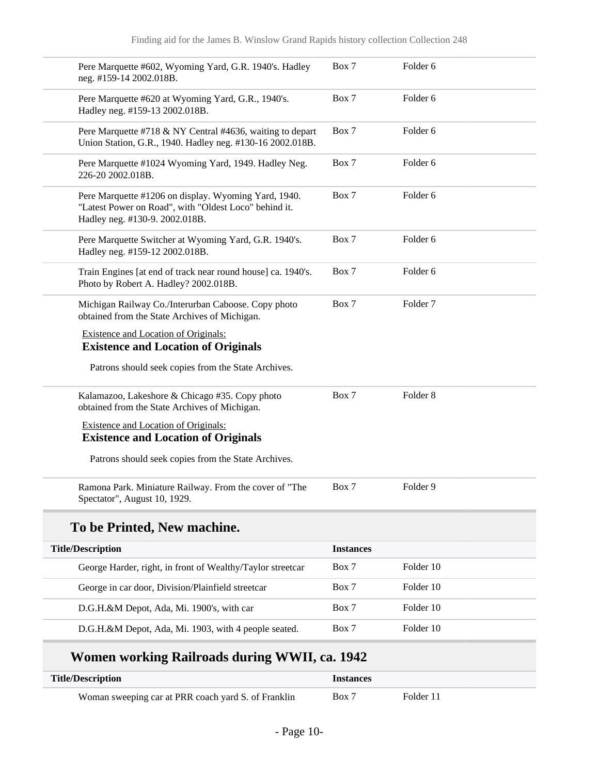| Pere Marquette #602, Wyoming Yard, G.R. 1940's. Hadley<br>neg. #159-14 2002.018B.                                                               | Box 7            | Folder <sub>6</sub> |
|-------------------------------------------------------------------------------------------------------------------------------------------------|------------------|---------------------|
| Pere Marquette #620 at Wyoming Yard, G.R., 1940's.<br>Hadley neg. #159-13 2002.018B.                                                            | Box 7            | Folder <sub>6</sub> |
| Pere Marquette #718 & NY Central #4636, waiting to depart<br>Union Station, G.R., 1940. Hadley neg. #130-16 2002.018B.                          | Box 7            | Folder <sub>6</sub> |
| Pere Marquette #1024 Wyoming Yard, 1949. Hadley Neg.<br>226-20 2002.018B.                                                                       | Box 7            | Folder <sub>6</sub> |
| Pere Marquette #1206 on display. Wyoming Yard, 1940.<br>"Latest Power on Road", with "Oldest Loco" behind it.<br>Hadley neg. #130-9. 2002.018B. | Box 7            | Folder <sub>6</sub> |
| Pere Marquette Switcher at Wyoming Yard, G.R. 1940's.<br>Hadley neg. #159-12 2002.018B.                                                         | Box 7            | Folder <sub>6</sub> |
| Train Engines [at end of track near round house] ca. 1940's.<br>Photo by Robert A. Hadley? 2002.018B.                                           | Box 7            | Folder 6            |
| Michigan Railway Co./Interurban Caboose. Copy photo<br>obtained from the State Archives of Michigan.                                            | Box 7            | Folder <sub>7</sub> |
| Existence and Location of Originals:<br><b>Existence and Location of Originals</b>                                                              |                  |                     |
| Patrons should seek copies from the State Archives.                                                                                             |                  |                     |
| Kalamazoo, Lakeshore & Chicago #35. Copy photo<br>obtained from the State Archives of Michigan.                                                 | Box 7            | Folder <sub>8</sub> |
| <b>Existence and Location of Originals:</b><br><b>Existence and Location of Originals</b>                                                       |                  |                     |
| Patrons should seek copies from the State Archives.                                                                                             |                  |                     |
| Ramona Park. Miniature Railway. From the cover of "The<br>Spectator", August 10, 1929.                                                          | Box 7            | Folder <sub>9</sub> |
| To be Printed, New machine.                                                                                                                     |                  |                     |
| <b>Title/Description</b>                                                                                                                        | <b>Instances</b> |                     |
| George Harder, right, in front of Wealthy/Taylor streetcar                                                                                      | Box 7            | Folder 10           |
| George in car door, Division/Plainfield streetcar                                                                                               | Box 7            | Folder 10           |
| D.G.H.&M Depot, Ada, Mi. 1900's, with car                                                                                                       | Box 7            | Folder 10           |
| D.G.H.&M Depot, Ada, Mi. 1903, with 4 people seated.                                                                                            | Box 7            | Folder 10           |

# **Women working Railroads during WWII, ca. 1942**

| Title/Description                                   | <i><u><b>Instances</b></u></i> |           |  |
|-----------------------------------------------------|--------------------------------|-----------|--|
| Woman sweeping car at PRR coach yard S. of Franklin | Box 7                          | Folder 11 |  |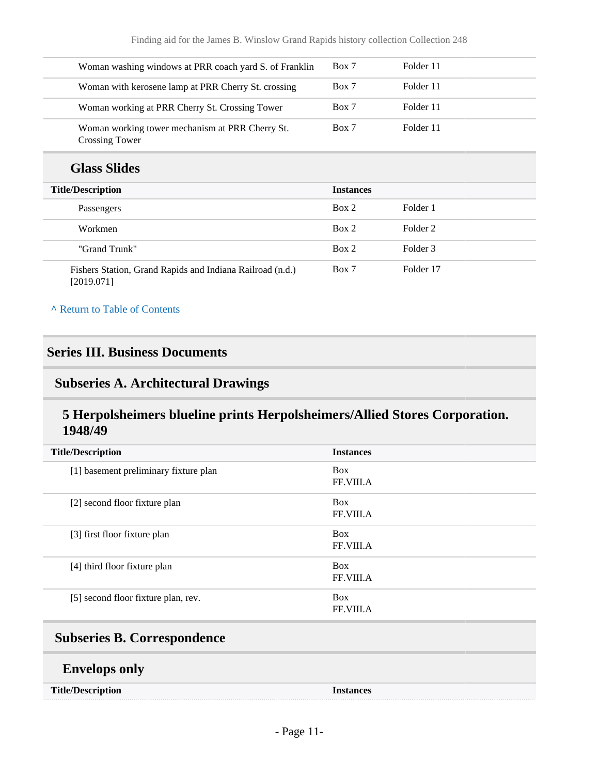| Woman washing windows at PRR coach yard S. of Franklin            | Box 7 | Folder 11 |  |
|-------------------------------------------------------------------|-------|-----------|--|
| Woman with kerosene lamp at PRR Cherry St. crossing               | Box 7 | Folder 11 |  |
| Woman working at PRR Cherry St. Crossing Tower                    | Box 7 | Folder 11 |  |
| Woman working tower mechanism at PRR Cherry St.<br>Crossing Tower | Box 7 | Folder 11 |  |

## **Glass Slides**

| <b>Title/Description</b>                                                | <b>Instances</b> |           |
|-------------------------------------------------------------------------|------------------|-----------|
| Passengers                                                              | Box 2            | Folder 1  |
| Workmen                                                                 | Box 2            | Folder 2  |
| "Grand Trunk"                                                           | Box 2            | Folder 3  |
| Fishers Station, Grand Rapids and Indiana Railroad (n.d.)<br>[2019.071] | Box 7            | Folder 17 |

#### **^** [Return to Table of Contents](#page-1-0)

### <span id="page-10-0"></span>**Series III. Business Documents**

### <span id="page-10-1"></span>**Subseries A. Architectural Drawings**

### **5 Herpolsheimers blueline prints Herpolsheimers/Allied Stores Corporation. 1948/49**

| <b>Title/Description</b>              | <b>Instances</b>               |
|---------------------------------------|--------------------------------|
| [1] basement preliminary fixture plan | <b>Box</b><br>FF.VIII.A        |
| [2] second floor fixture plan         | <b>Box</b><br><b>FF.VIII.A</b> |
| [3] first floor fixture plan          | <b>Box</b><br><b>FF.VIII.A</b> |
| [4] third floor fixture plan          | <b>Box</b><br>FF.VIII.A        |
| [5] second floor fixture plan, rev.   | <b>Box</b><br>FF.VIII.A        |

# <span id="page-10-2"></span>**Subseries B. Correspondence**

### **Envelops only**

**Title/Description Instances**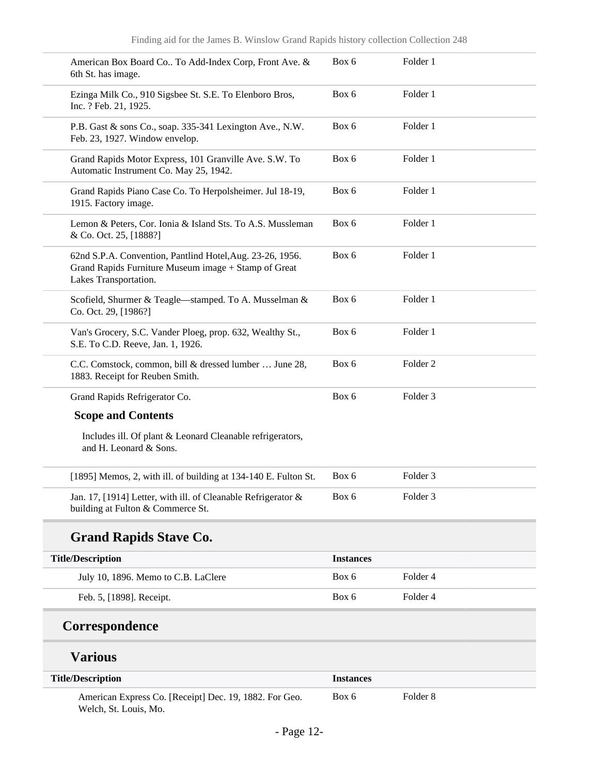| American Box Board Co To Add-Index Corp, Front Ave. &<br>6th St. has image.                                                                | Box 6            | Folder 1            |
|--------------------------------------------------------------------------------------------------------------------------------------------|------------------|---------------------|
| Ezinga Milk Co., 910 Sigsbee St. S.E. To Elenboro Bros,<br>Inc. ? Feb. 21, 1925.                                                           | Box 6            | Folder 1            |
| P.B. Gast & sons Co., soap. 335-341 Lexington Ave., N.W.<br>Feb. 23, 1927. Window envelop.                                                 | Box 6            | Folder 1            |
| Grand Rapids Motor Express, 101 Granville Ave. S.W. To<br>Automatic Instrument Co. May 25, 1942.                                           | Box 6            | Folder 1            |
| Grand Rapids Piano Case Co. To Herpolsheimer. Jul 18-19,<br>1915. Factory image.                                                           | Box 6            | Folder 1            |
| Lemon & Peters, Cor. Ionia & Island Sts. To A.S. Mussleman<br>& Co. Oct. 25, [1888?]                                                       | Box 6            | Folder 1            |
| 62nd S.P.A. Convention, Pantlind Hotel, Aug. 23-26, 1956.<br>Grand Rapids Furniture Museum image + Stamp of Great<br>Lakes Transportation. | Box 6            | Folder 1            |
| Scofield, Shurmer & Teagle-stamped. To A. Musselman &<br>Co. Oct. 29, [1986?]                                                              | Box 6            | Folder 1            |
| Van's Grocery, S.C. Vander Ploeg, prop. 632, Wealthy St.,<br>S.E. To C.D. Reeve, Jan. 1, 1926.                                             | Box 6            | Folder 1            |
| C.C. Comstock, common, bill & dressed lumber  June 28,<br>1883. Receipt for Reuben Smith.                                                  | Box 6            | Folder <sub>2</sub> |
| Grand Rapids Refrigerator Co.                                                                                                              | Box 6            | Folder <sub>3</sub> |
| <b>Scope and Contents</b>                                                                                                                  |                  |                     |
| Includes ill. Of plant & Leonard Cleanable refrigerators,<br>and H. Leonard & Sons.                                                        |                  |                     |
| [1895] Memos, 2, with ill. of building at 134-140 E. Fulton St.                                                                            | Box 6            | Folder <sub>3</sub> |
| Jan. 17, [1914] Letter, with ill. of Cleanable Refrigerator &<br>building at Fulton & Commerce St.                                         | Box 6            | Folder <sub>3</sub> |
| <b>Grand Rapids Stave Co.</b>                                                                                                              |                  |                     |
| <b>Title/Description</b>                                                                                                                   | <b>Instances</b> |                     |
| July 10, 1896. Memo to C.B. LaClere                                                                                                        | Box 6            | Folder 4            |
| Feb. 5, [1898]. Receipt.                                                                                                                   | Box 6            | Folder 4            |
|                                                                                                                                            |                  |                     |

# **Correspondence**

# **Various**

| <b>Title/Description</b>                                                        | <b>Instances</b> |          |
|---------------------------------------------------------------------------------|------------------|----------|
| American Express Co. [Receipt] Dec. 19, 1882. For Geo.<br>Welch, St. Louis, Mo. | Box 6            | Folder 8 |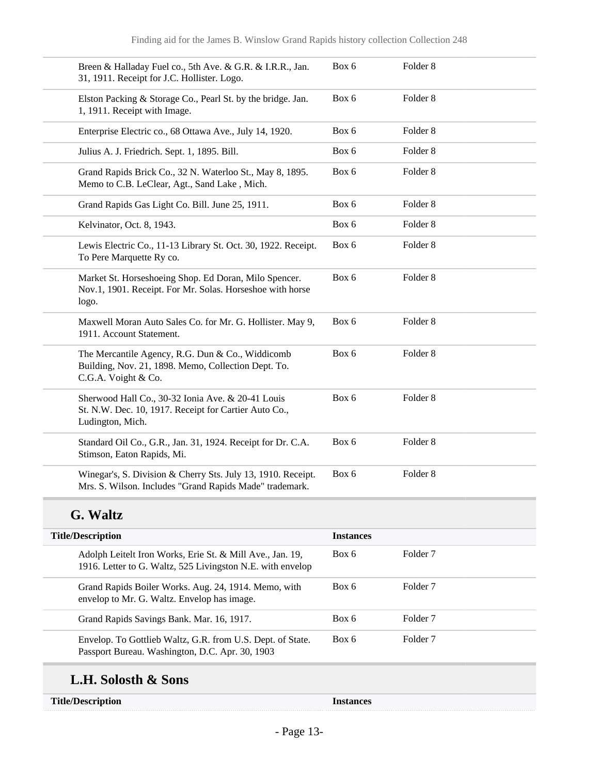| Breen & Halladay Fuel co., 5th Ave. & G.R. & I.R.R., Jan.<br>31, 1911. Receipt for J.C. Hollister. Logo.                       | Box 6 | Folder <sub>8</sub> |
|--------------------------------------------------------------------------------------------------------------------------------|-------|---------------------|
| Elston Packing & Storage Co., Pearl St. by the bridge. Jan.<br>1, 1911. Receipt with Image.                                    | Box 6 | Folder <sub>8</sub> |
| Enterprise Electric co., 68 Ottawa Ave., July 14, 1920.                                                                        | Box 6 | Folder <sub>8</sub> |
| Julius A. J. Friedrich. Sept. 1, 1895. Bill.                                                                                   | Box 6 | Folder <sub>8</sub> |
| Grand Rapids Brick Co., 32 N. Waterloo St., May 8, 1895.<br>Memo to C.B. LeClear, Agt., Sand Lake, Mich.                       | Box 6 | Folder <sub>8</sub> |
| Grand Rapids Gas Light Co. Bill. June 25, 1911.                                                                                | Box 6 | Folder <sub>8</sub> |
| Kelvinator, Oct. 8, 1943.                                                                                                      | Box 6 | Folder <sub>8</sub> |
| Lewis Electric Co., 11-13 Library St. Oct. 30, 1922. Receipt.<br>To Pere Marquette Ry co.                                      | Box 6 | Folder <sub>8</sub> |
| Market St. Horseshoeing Shop. Ed Doran, Milo Spencer.<br>Nov.1, 1901. Receipt. For Mr. Solas. Horseshoe with horse<br>logo.    | Box 6 | Folder <sub>8</sub> |
| Maxwell Moran Auto Sales Co. for Mr. G. Hollister. May 9,<br>1911. Account Statement.                                          | Box 6 | Folder <sub>8</sub> |
| The Mercantile Agency, R.G. Dun & Co., Widdicomb<br>Building, Nov. 21, 1898. Memo, Collection Dept. To.<br>C.G.A. Voight & Co. | Box 6 | Folder <sub>8</sub> |
| Sherwood Hall Co., 30-32 Ionia Ave. & 20-41 Louis<br>St. N.W. Dec. 10, 1917. Receipt for Cartier Auto Co.,<br>Ludington, Mich. | Box 6 | Folder <sub>8</sub> |
| Standard Oil Co., G.R., Jan. 31, 1924. Receipt for Dr. C.A.<br>Stimson, Eaton Rapids, Mi.                                      | Box 6 | Folder <sub>8</sub> |
| Winegar's, S. Division & Cherry Sts. July 13, 1910. Receipt.<br>Mrs. S. Wilson. Includes "Grand Rapids Made" trademark.        | Box 6 | Folder <sub>8</sub> |

# **G. Waltz**

| <b>Title/Description</b>                                                                                                | <b>Instances</b> |                     |
|-------------------------------------------------------------------------------------------------------------------------|------------------|---------------------|
| Adolph Leitelt Iron Works, Erie St. & Mill Ave., Jan. 19,<br>1916. Letter to G. Waltz, 525 Livingston N.E. with envelop | Box 6            | Folder <sub>7</sub> |
| Grand Rapids Boiler Works. Aug. 24, 1914. Memo, with<br>envelop to Mr. G. Waltz. Envelop has image.                     | Box 6            | Folder <sub>7</sub> |
| Grand Rapids Savings Bank. Mar. 16, 1917.                                                                               | Box 6            | Folder <sub>7</sub> |
| Envelop. To Gottlieb Waltz, G.R. from U.S. Dept. of State.<br>Passport Bureau. Washington, D.C. Apr. 30, 1903           | Box 6            | Folder <sub>7</sub> |
|                                                                                                                         |                  |                     |

# **L.H. Solosth & Sons**

Instances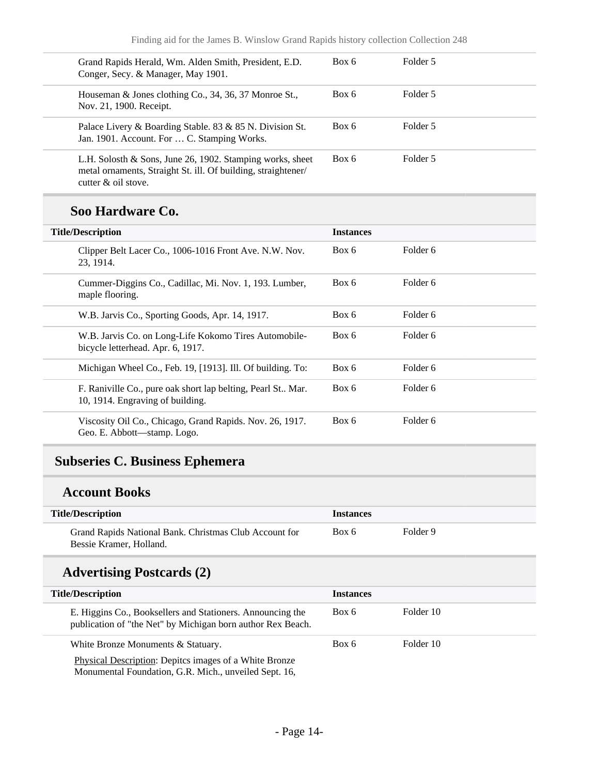| Grand Rapids Herald, Wm. Alden Smith, President, E.D.<br>Conger, Secy. & Manager, May 1901.                                                       | Box 6 | Folder 5 |  |
|---------------------------------------------------------------------------------------------------------------------------------------------------|-------|----------|--|
| Houseman & Jones clothing Co., 34, 36, 37 Monroe St.,<br>Nov. 21, 1900. Receipt.                                                                  | Box 6 | Folder 5 |  |
| Palace Livery & Boarding Stable. 83 & 85 N. Division St.<br>Jan. 1901. Account. For  C. Stamping Works.                                           | Box 6 | Folder 5 |  |
| L.H. Solosth & Sons, June 26, 1902. Stamping works, sheet<br>metal ornaments, Straight St. ill. Of building, straightener/<br>cutter & oil stove. | Box 6 | Folder 5 |  |

### **Soo Hardware Co.**

| <b>Title/Description</b>                                                                        | <b>Instances</b> |          |
|-------------------------------------------------------------------------------------------------|------------------|----------|
| Clipper Belt Lacer Co., 1006-1016 Front Ave. N.W. Nov.<br>23, 1914.                             | Box 6            | Folder 6 |
| Cummer-Diggins Co., Cadillac, Mi. Nov. 1, 193. Lumber,<br>maple flooring.                       | Box 6            | Folder 6 |
| W.B. Jarvis Co., Sporting Goods, Apr. 14, 1917.                                                 | Box 6            | Folder 6 |
| W.B. Jarvis Co. on Long-Life Kokomo Tires Automobile-<br>bicycle letterhead. Apr. 6, 1917.      | Box 6            | Folder 6 |
| Michigan Wheel Co., Feb. 19, [1913]. Ill. Of building. To:                                      | Box 6            | Folder 6 |
| F. Raniville Co., pure oak short lap belting, Pearl St Mar.<br>10, 1914. Engraving of building. | Box 6            | Folder 6 |
| Viscosity Oil Co., Chicago, Grand Rapids. Nov. 26, 1917.<br>Geo. E. Abbott—stamp. Logo.         | Box 6            | Folder 6 |

## <span id="page-13-0"></span>**Subseries C. Business Ephemera**

### **Account Books**

| <b>Title/Description</b>                                                          | <b>Instances</b> |          |
|-----------------------------------------------------------------------------------|------------------|----------|
| Grand Rapids National Bank. Christmas Club Account for<br>Bessie Kramer, Holland. | Box 6            | Folder 9 |

## **Advertising Postcards (2)**

| <b>Title/Description</b>                                                                                                  | <b>Instances</b> |           |
|---------------------------------------------------------------------------------------------------------------------------|------------------|-----------|
| E. Higgins Co., Booksellers and Stationers. Announcing the<br>publication of "the Net" by Michigan born author Rex Beach. | Box 6            | Folder 10 |
| White Bronze Monuments & Statuary.<br>Physical Description: Depites images of a White Bronze                              | Box 6            | Folder 10 |

Physical Description: Depitcs images of a White Bronze Monumental Foundation, G.R. Mich., unveiled Sept. 16,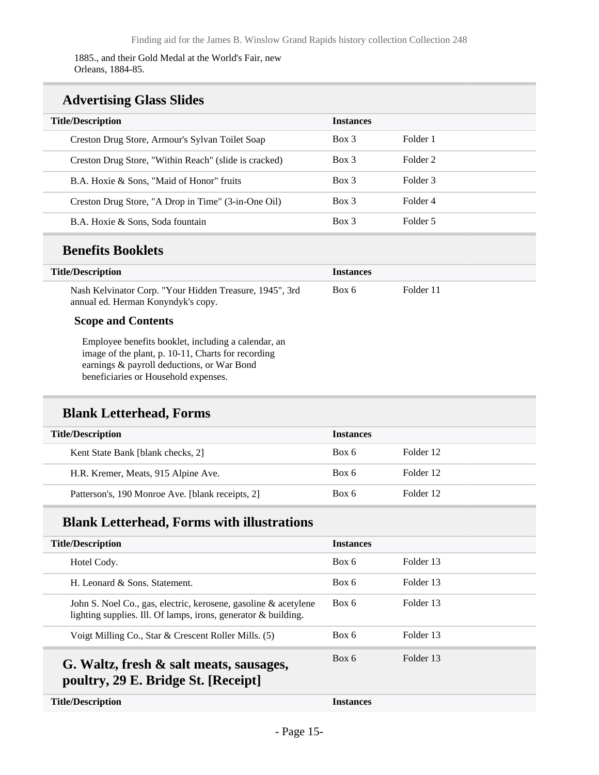1885., and their Gold Medal at the World's Fair, new Orleans, 1884-85.

### **Advertising Glass Slides**

| <b>Title/Description</b>                              | <b>Instances</b> |          |
|-------------------------------------------------------|------------------|----------|
| Creston Drug Store, Armour's Sylvan Toilet Soap       | $Box\ 3$         | Folder 1 |
| Creston Drug Store, "Within Reach" (slide is cracked) | Box 3            | Folder 2 |
| B.A. Hoxie & Sons, "Maid of Honor" fruits             | $Box\ 3$         | Folder 3 |
| Creston Drug Store, "A Drop in Time" (3-in-One Oil)   | $Box\ 3$         | Folder 4 |
| B.A. Hoxie & Sons, Soda fountain                      | $Box\ 3$         | Folder 5 |

### **Benefits Booklets**

| Title/Description                                       | <b>Instances</b> |           |
|---------------------------------------------------------|------------------|-----------|
| Nash Kelvinator Corp. "Your Hidden Treasure, 1945", 3rd | Box 6            | Folder 11 |
| annual ed. Herman Konyndyk's copy.                      |                  |           |

#### **Scope and Contents**

Employee benefits booklet, including a calendar, an image of the plant, p. 10-11, Charts for recording earnings & payroll deductions, or War Bond beneficiaries or Household expenses.

### **Blank Letterhead, Forms**

| <b>Title/Description</b>                         | <b>Instances</b> |           |
|--------------------------------------------------|------------------|-----------|
| Kent State Bank [blank checks, 2]                | Box 6            | Folder 12 |
| H.R. Kremer, Meats, 915 Alpine Ave.              | Box 6            | Folder 12 |
| Patterson's, 190 Monroe Ave. [blank receipts, 2] | Box 6            | Folder 12 |

### **Blank Letterhead, Forms with illustrations**

| <b>Title/Description</b>                                                                                                          | <b>Instances</b> |           |
|-----------------------------------------------------------------------------------------------------------------------------------|------------------|-----------|
| Hotel Cody.                                                                                                                       | Box 6            | Folder 13 |
| H. Leonard $\&$ Sons. Statement.                                                                                                  | Box 6            | Folder 13 |
| John S. Noel Co., gas, electric, kerosene, gasoline & acetylene<br>lighting supplies. Ill. Of lamps, irons, generator & building. | Box 6            | Folder 13 |
| Voigt Milling Co., Star & Crescent Roller Mills. (5)                                                                              | Box 6            | Folder 13 |
| G. Waltz, fresh & salt meats, sausages,<br>poultry, 29 E. Bridge St. [Receipt]                                                    | Box 6            | Folder 13 |
| <b>Title/Description</b>                                                                                                          | <b>Instances</b> |           |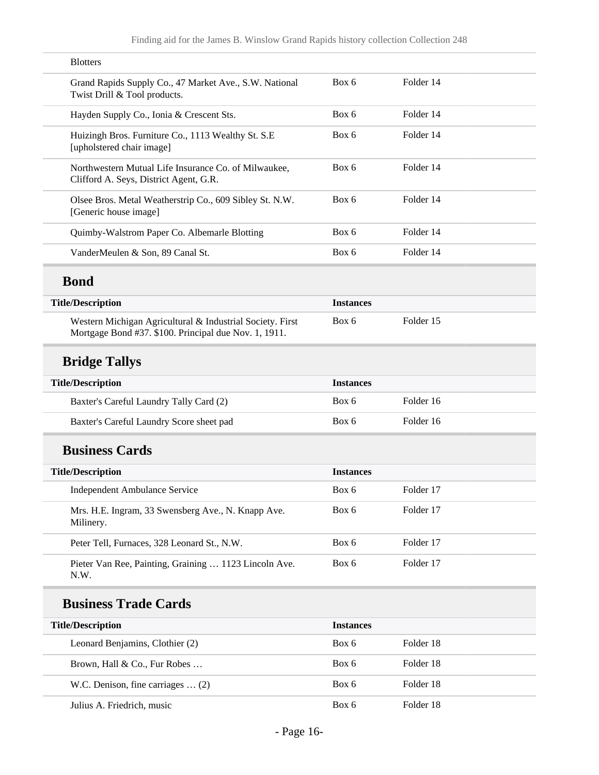| <b>Blotters</b>                                                                                                    |                  |           |  |
|--------------------------------------------------------------------------------------------------------------------|------------------|-----------|--|
| Grand Rapids Supply Co., 47 Market Ave., S.W. National<br>Twist Drill & Tool products.                             | Box 6            | Folder 14 |  |
| Hayden Supply Co., Ionia & Crescent Sts.                                                                           | Box 6            | Folder 14 |  |
| Huizingh Bros. Furniture Co., 1113 Wealthy St. S.E.<br>[upholstered chair image]                                   | Box 6            | Folder 14 |  |
| Northwestern Mutual Life Insurance Co. of Milwaukee,<br>Clifford A. Seys, District Agent, G.R.                     | Box 6            | Folder 14 |  |
| Olsee Bros. Metal Weatherstrip Co., 609 Sibley St. N.W.<br>[Generic house image]                                   | Box 6            | Folder 14 |  |
| Quimby-Walstrom Paper Co. Albemarle Blotting                                                                       | Box 6            | Folder 14 |  |
| VanderMeulen & Son, 89 Canal St.                                                                                   | Box 6            | Folder 14 |  |
| <b>Bond</b>                                                                                                        |                  |           |  |
| <b>Title/Description</b>                                                                                           | <b>Instances</b> |           |  |
| Western Michigan Agricultural & Industrial Society. First<br>Mortgage Bond #37. \$100. Principal due Nov. 1, 1911. | Box 6            | Folder 15 |  |
| <b>Bridge Tallys</b>                                                                                               |                  |           |  |
| <b>Title/Description</b>                                                                                           | <b>Instances</b> |           |  |
| Baxter's Careful Laundry Tally Card (2)                                                                            | Box 6            | Folder 16 |  |
| Baxter's Careful Laundry Score sheet pad                                                                           | Box 6            | Folder 16 |  |
| <b>Business Cards</b>                                                                                              |                  |           |  |
| <b>Title/Description</b>                                                                                           | <b>Instances</b> |           |  |
| Independent Ambulance Service                                                                                      | Box 6            | Folder 17 |  |
| Mrs. H.E. Ingram, 33 Swensberg Ave., N. Knapp Ave.<br>Milinery.                                                    | Box 6            | Folder 17 |  |
| Peter Tell, Furnaces, 328 Leonard St., N.W.                                                                        | Box 6            | Folder 17 |  |
| Pieter Van Ree, Painting, Graining  1123 Lincoln Ave.<br>N.W.                                                      | Box 6            | Folder 17 |  |
|                                                                                                                    |                  |           |  |

# **Business Trade Cards**

| <b>Title/Description</b>                 | <b>Instances</b> |           |
|------------------------------------------|------------------|-----------|
| Leonard Benjamins, Clothier (2)          | Box 6            | Folder 18 |
| Brown, Hall & Co., Fur Robes             | Box 6            | Folder 18 |
| W.C. Denison, fine carriages $\dots$ (2) | Box 6            | Folder 18 |
| Julius A. Friedrich, music               | Box 6            | Folder 18 |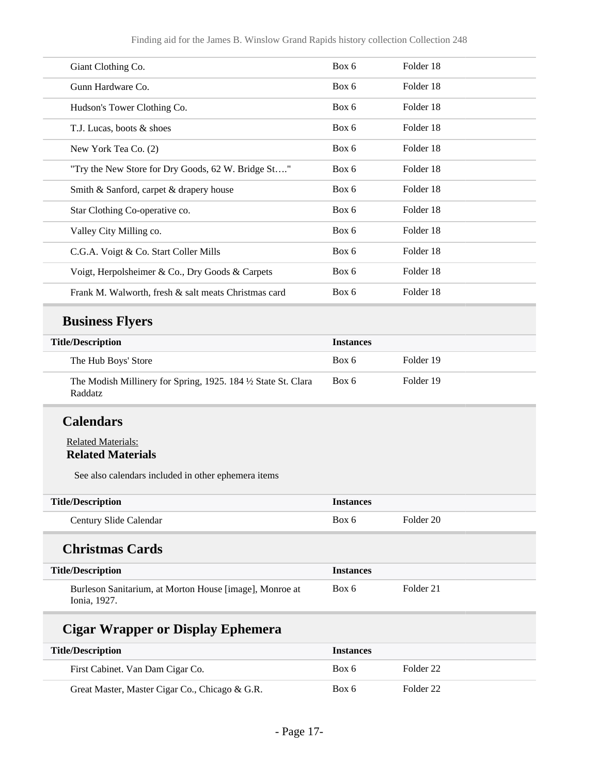| Giant Clothing Co.                                   | Box 6 | Folder 18 |  |
|------------------------------------------------------|-------|-----------|--|
| Gunn Hardware Co.                                    | Box 6 | Folder 18 |  |
| Hudson's Tower Clothing Co.                          | Box 6 | Folder 18 |  |
| T.J. Lucas, boots & shoes                            | Box 6 | Folder 18 |  |
| New York Tea Co. (2)                                 | Box 6 | Folder 18 |  |
| "Try the New Store for Dry Goods, 62 W. Bridge St"   | Box 6 | Folder 18 |  |
| Smith & Sanford, carpet & drapery house              | Box 6 | Folder 18 |  |
| Star Clothing Co-operative co.                       | Box 6 | Folder 18 |  |
| Valley City Milling co.                              | Box 6 | Folder 18 |  |
| C.G.A. Voigt & Co. Start Coller Mills                | Box 6 | Folder 18 |  |
| Voigt, Herpolsheimer & Co., Dry Goods & Carpets      | Box 6 | Folder 18 |  |
| Frank M. Walworth, fresh & salt meats Christmas card | Box 6 | Folder 18 |  |
|                                                      |       |           |  |

# **Business Flyers**

| <b>Title/Description</b>                                                         | <b>Instances</b> |           |
|----------------------------------------------------------------------------------|------------------|-----------|
| The Hub Boys' Store                                                              | Box 6            | Folder 19 |
| The Modish Millinery for Spring, 1925. 184 1/2 State St. Clara<br><b>Raddatz</b> | Box 6            | Folder 19 |

### **Calendars**

L

#### Related Materials: **Related Materials**

See also calendars included in other ephemera items

| <b>Title/Description</b>                                                | <b>Instances</b> |           |
|-------------------------------------------------------------------------|------------------|-----------|
| Century Slide Calendar                                                  | Box 6            | Folder 20 |
| <b>Christmas Cards</b>                                                  |                  |           |
| <b>Title/Description</b>                                                | <b>Instances</b> |           |
| Burleson Sanitarium, at Morton House [image], Monroe at<br>Ionia, 1927. | Box 6            | Folder 21 |
| <b>Cigar Wrapper or Display Ephemera</b>                                |                  |           |

| <b>Title/Description</b>                       | <b>Instances</b> |           |
|------------------------------------------------|------------------|-----------|
| First Cabinet. Van Dam Cigar Co.               | Box 6            | Folder 22 |
| Great Master, Master Cigar Co., Chicago & G.R. | Box 6            | Folder 22 |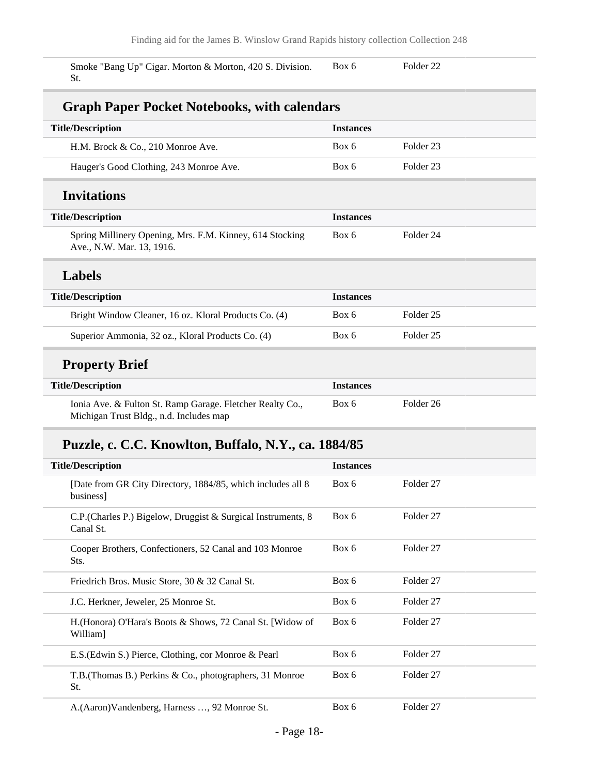Smoke "Bang Up" Cigar. Morton & Morton, 420 S. Division. St. Box 6 Folder 22

### **Graph Paper Pocket Notebooks, with calendars**

| <b>Title/Description</b>                                                                             | <b>Instances</b> |                      |
|------------------------------------------------------------------------------------------------------|------------------|----------------------|
| H.M. Brock & Co., 210 Monroe Ave.                                                                    | Box 6            | Folder 23            |
| Hauger's Good Clothing, 243 Monroe Ave.                                                              | Box 6            | Folder 23            |
| <b>Invitations</b>                                                                                   |                  |                      |
| <b>Title/Description</b>                                                                             | <b>Instances</b> |                      |
| Spring Millinery Opening, Mrs. F.M. Kinney, 614 Stocking<br>Ave., N.W. Mar. 13, 1916.                | Box 6            | Folder <sub>24</sub> |
| <b>Labels</b>                                                                                        |                  |                      |
| <b>Title/Description</b>                                                                             | <b>Instances</b> |                      |
| Bright Window Cleaner, 16 oz. Kloral Products Co. (4)                                                | Box 6            | Folder 25            |
| Superior Ammonia, 32 oz., Kloral Products Co. (4)                                                    | Box 6            | Folder 25            |
| <b>Property Brief</b>                                                                                |                  |                      |
| <b>Title/Description</b>                                                                             | <b>Instances</b> |                      |
| Ionia Ave. & Fulton St. Ramp Garage. Fletcher Realty Co.,<br>Michigan Trust Bldg., n.d. Includes map | Box 6            | Folder 26            |

# **Puzzle, c. C.C. Knowlton, Buffalo, N.Y., ca. 1884/85**

| <b>Title/Description</b>                                                   | <b>Instances</b> |                      |
|----------------------------------------------------------------------------|------------------|----------------------|
| [Date from GR City Directory, 1884/85, which includes all 8<br>business]   | Box 6            | Folder <sub>27</sub> |
| C.P. (Charles P.) Bigelow, Druggist & Surgical Instruments, 8<br>Canal St. | Box 6            | Folder <sub>27</sub> |
| Cooper Brothers, Confectioners, 52 Canal and 103 Monroe<br>Sts.            | Box 6            | Folder <sub>27</sub> |
| Friedrich Bros. Music Store, 30 & 32 Canal St.                             | Box 6            | Folder <sub>27</sub> |
| J.C. Herkner, Jeweler, 25 Monroe St.                                       | Box 6            | Folder 27            |
| H. (Honora) O'Hara's Boots & Shows, 72 Canal St. [Widow of<br>William]     | Box 6            | Folder <sub>27</sub> |
| E.S. (Edwin S.) Pierce, Clothing, cor Monroe & Pearl                       | Box 6            | Folder <sub>27</sub> |
| T.B. (Thomas B.) Perkins & Co., photographers, 31 Monroe<br>St.            | Box 6            | Folder 27            |
| A.(Aaron)Vandenberg, Harness , 92 Monroe St.                               | Box 6            | Folder <sub>27</sub> |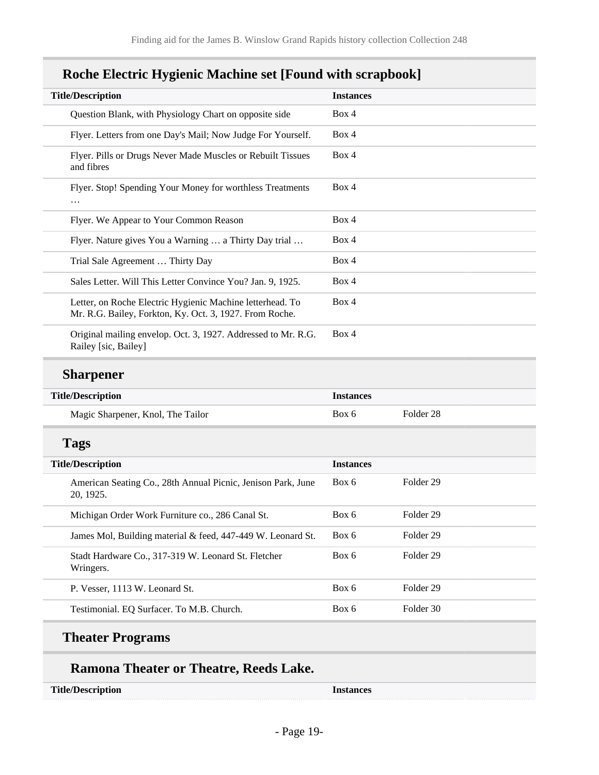| <b>Title/Description</b>                                                                                             | <b>Instances</b> |
|----------------------------------------------------------------------------------------------------------------------|------------------|
| Question Blank, with Physiology Chart on opposite side                                                               | Box 4            |
| Flyer. Letters from one Day's Mail; Now Judge For Yourself.                                                          | Box 4            |
| Flyer. Pills or Drugs Never Made Muscles or Rebuilt Tissues<br>and fibres                                            | Box 4            |
| Flyer. Stop! Spending Your Money for worthless Treatments<br>.                                                       | Box 4            |
| Flyer. We Appear to Your Common Reason                                                                               | Box 4            |
| Flyer. Nature gives You a Warning  a Thirty Day trial                                                                | Box 4            |
| Trial Sale Agreement  Thirty Day                                                                                     | Box 4            |
| Sales Letter. Will This Letter Convince You? Jan. 9, 1925.                                                           | Box 4            |
| Letter, on Roche Electric Hygienic Machine letterhead. To<br>Mr. R.G. Bailey, Forkton, Ky. Oct. 3, 1927. From Roche. | Box 4            |
| Original mailing envelop. Oct. 3, 1927. Addressed to Mr. R.G.<br>Railey [sic, Bailey]                                | Box 4            |

## **Roche Electric Hygienic Machine set [Found with scrapbook]**

## **Sharpener**

| <b>Title/Description</b>          | <i>Instances</i> |           |
|-----------------------------------|------------------|-----------|
| Magic Sharpener, Knol, The Tailor | Box 6            | Folder 28 |

## **Tags**

| <b>Title/Description</b>                                                  | <b>Instances</b> |           |
|---------------------------------------------------------------------------|------------------|-----------|
| American Seating Co., 28th Annual Picnic, Jenison Park, June<br>20. 1925. | Box 6            | Folder 29 |
| Michigan Order Work Furniture co., 286 Canal St.                          | Box 6            | Folder 29 |
| James Mol, Building material & feed, 447-449 W. Leonard St.               | Box 6            | Folder 29 |
| Stadt Hardware Co., 317-319 W. Leonard St. Fletcher<br>Wringers.          | Box 6            | Folder 29 |
| P. Vesser, 1113 W. Leonard St.                                            | Box 6            | Folder 29 |
| Testimonial. EQ Surfacer. To M.B. Church.                                 | Box 6            | Folder 30 |

# **Theater Programs**

## **Ramona Theater or Theatre, Reeds Lake.**

**Title/Description Instances**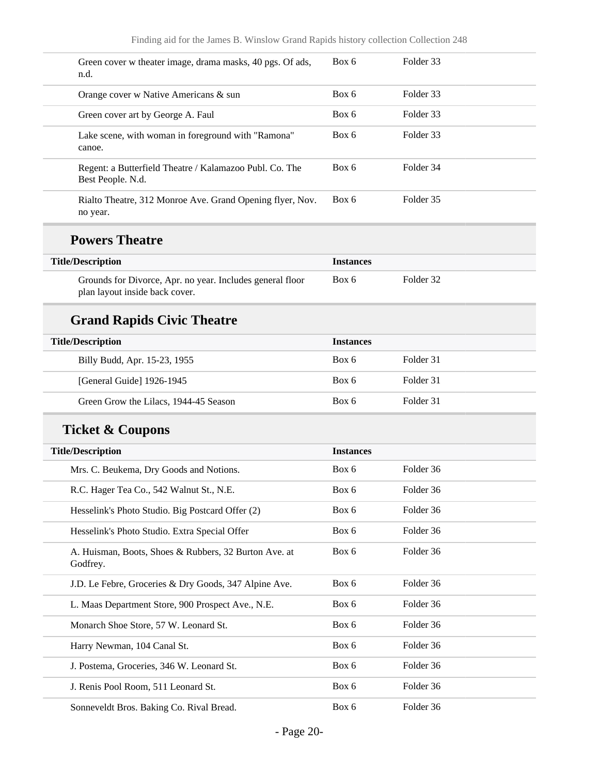| Green cover w theater image, drama masks, 40 pgs. Of ads,<br>n.d.                           | Box 6            | Folder 33 |
|---------------------------------------------------------------------------------------------|------------------|-----------|
| Orange cover w Native Americans & sun                                                       | Box 6            | Folder 33 |
| Green cover art by George A. Faul                                                           | Box 6            | Folder 33 |
| Lake scene, with woman in foreground with "Ramona"<br>canoe.                                | Box 6            | Folder 33 |
| Regent: a Butterfield Theatre / Kalamazoo Publ. Co. The<br>Best People. N.d.                | Box 6            | Folder 34 |
| Rialto Theatre, 312 Monroe Ave. Grand Opening flyer, Nov.<br>no year.                       | Box 6            | Folder 35 |
| <b>Powers Theatre</b>                                                                       |                  |           |
| <b>Title/Description</b>                                                                    | <b>Instances</b> |           |
| Grounds for Divorce, Apr. no year. Includes general floor<br>plan layout inside back cover. | Box 6            | Folder 32 |
| <b>Grand Rapids Civic Theatre</b>                                                           |                  |           |
| <b>Title/Description</b>                                                                    | <b>Instances</b> |           |
| Billy Budd, Apr. 15-23, 1955                                                                | Box 6            | Folder 31 |
| [General Guide] 1926-1945                                                                   | Box 6            | Folder 31 |
| Green Grow the Lilacs, 1944-45 Season                                                       | Box 6            | Folder 31 |
| <b>Ticket &amp; Coupons</b>                                                                 |                  |           |
| <b>Title/Description</b>                                                                    | <b>Instances</b> |           |
| Mrs. C. Beukema, Dry Goods and Notions.                                                     | Box 6            | Folder 36 |
| R.C. Hager Tea Co., 542 Walnut St., N.E.                                                    | Box 6            | Folder 36 |
| Hesselink's Photo Studio. Big Postcard Offer (2)                                            | Box 6            | Folder 36 |
| Hesselink's Photo Studio. Extra Special Offer                                               | Box 6            | Folder 36 |
| A. Huisman, Boots, Shoes & Rubbers, 32 Burton Ave. at<br>Godfrey.                           | Box 6            | Folder 36 |
| J.D. Le Febre, Groceries & Dry Goods, 347 Alpine Ave.                                       | Box 6            | Folder 36 |
| L. Maas Department Store, 900 Prospect Ave., N.E.                                           | Box 6            | Folder 36 |
| Monarch Shoe Store, 57 W. Leonard St.                                                       | Box 6            | Folder 36 |
| Harry Newman, 104 Canal St.                                                                 | Box 6            | Folder 36 |
| J. Postema, Groceries, 346 W. Leonard St.                                                   | Box 6            | Folder 36 |
| J. Renis Pool Room, 511 Leonard St.                                                         | Box 6            | Folder 36 |
| Sonneveldt Bros. Baking Co. Rival Bread.                                                    | Box 6            | Folder 36 |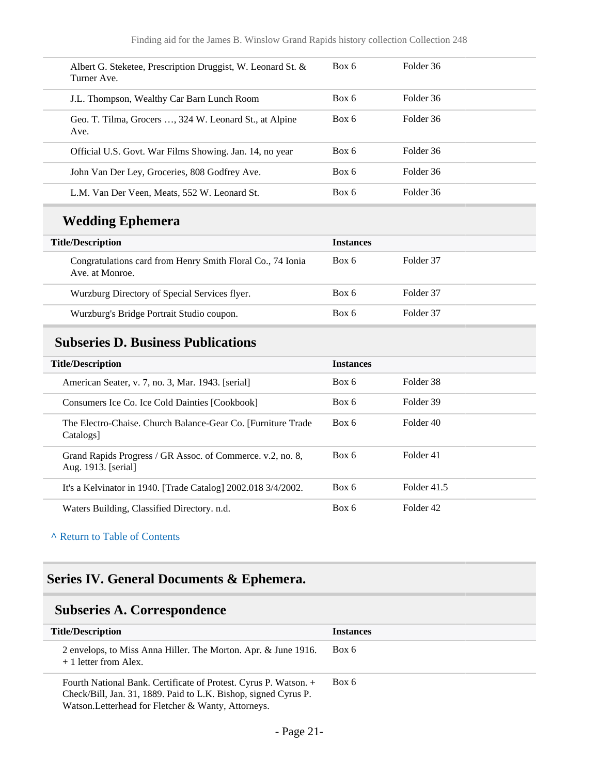| Box 6<br>Folder 36<br>Albert G. Steketee, Prescription Druggist, W. Leonard St. &<br>Turner Ave.<br>Folder 36<br>Box 6<br>J.L. Thompson, Wealthy Car Barn Lunch Room<br>Folder 36<br>Box 6<br>Geo. T. Tilma, Grocers , 324 W. Leonard St., at Alpine<br>Ave.<br>Box 6<br>Folder 36<br>Official U.S. Govt. War Films Showing. Jan. 14, no year<br>Folder 36<br>Box 6<br>John Van Der Ley, Groceries, 808 Godfrey Ave.<br>Folder 36<br>Box 6<br>L.M. Van Der Veen, Meats, 552 W. Leonard St. |  |  |
|--------------------------------------------------------------------------------------------------------------------------------------------------------------------------------------------------------------------------------------------------------------------------------------------------------------------------------------------------------------------------------------------------------------------------------------------------------------------------------------------|--|--|
|                                                                                                                                                                                                                                                                                                                                                                                                                                                                                            |  |  |
|                                                                                                                                                                                                                                                                                                                                                                                                                                                                                            |  |  |
|                                                                                                                                                                                                                                                                                                                                                                                                                                                                                            |  |  |
|                                                                                                                                                                                                                                                                                                                                                                                                                                                                                            |  |  |
|                                                                                                                                                                                                                                                                                                                                                                                                                                                                                            |  |  |
|                                                                                                                                                                                                                                                                                                                                                                                                                                                                                            |  |  |

## **Wedding Ephemera**

| <b>Title/Description</b>                                                      | <b>Instances</b> |           |
|-------------------------------------------------------------------------------|------------------|-----------|
| Congratulations card from Henry Smith Floral Co., 74 Ionia<br>Ave. at Monroe. | Box 6            | Folder 37 |
| Wurzburg Directory of Special Services flyer.                                 | Box 6            | Folder 37 |
| Wurzburg's Bridge Portrait Studio coupon.                                     | Box 6            | Folder 37 |

## <span id="page-20-0"></span>**Subseries D. Business Publications**

| <b>Title/Description</b>                                                          | <b>Instances</b> |             |
|-----------------------------------------------------------------------------------|------------------|-------------|
| American Seater, v. 7, no. 3, Mar. 1943. [serial]                                 | Box 6            | Folder 38   |
| Consumers Ice Co. Ice Cold Dainties [Cookbook]                                    | Box 6            | Folder 39   |
| The Electro-Chaise. Church Balance-Gear Co. [Furniture Trade]<br>Catalogs]        | Box 6            | Folder 40   |
| Grand Rapids Progress / GR Assoc. of Commerce. v.2, no. 8,<br>Aug. 1913. [serial] | Box 6            | Folder 41   |
| It's a Kelvinator in 1940. [Trade Catalog] 2002.018 3/4/2002.                     | Box 6            | Folder 41.5 |
| Waters Building, Classified Directory. n.d.                                       | Box 6            | Folder 42   |

#### **^** [Return to Table of Contents](#page-1-0)

# <span id="page-20-1"></span>**Series IV. General Documents & Ephemera.**

# <span id="page-20-2"></span>**Subseries A. Correspondence**

| <b>Title/Description</b>                                                                                                                                                                   | <b>Instances</b> |
|--------------------------------------------------------------------------------------------------------------------------------------------------------------------------------------------|------------------|
| 2 envelops, to Miss Anna Hiller. The Morton. Apr. & June 1916.<br>+ 1 letter from Alex.                                                                                                    | Box 6            |
| Fourth National Bank. Certificate of Protest. Cyrus P. Watson. +<br>Check/Bill, Jan. 31, 1889. Paid to L.K. Bishop, signed Cyrus P.<br>Watson. Letterhead for Fletcher & Wanty, Attorneys. | Box 6            |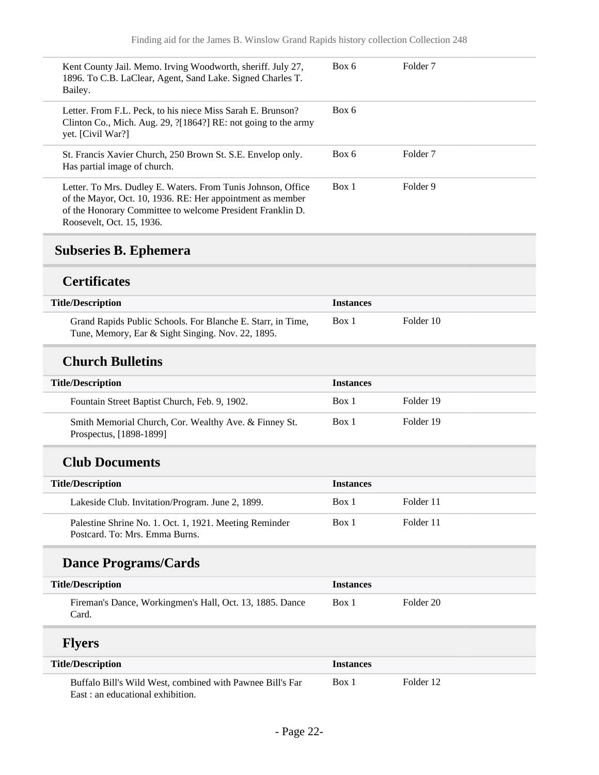| Kent County Jail. Memo. Irving Woodworth, sheriff. July 27,<br>1896. To C.B. LaClear, Agent, Sand Lake. Signed Charles T.<br>Bailey.                                                                                  | Box 6 | Folder <sub>7</sub> |
|-----------------------------------------------------------------------------------------------------------------------------------------------------------------------------------------------------------------------|-------|---------------------|
| Letter. From F.L. Peck, to his niece Miss Sarah E. Brunson?<br>Clinton Co., Mich. Aug. 29, ?[1864?] RE: not going to the army<br>yet. [Civil War?]                                                                    | Box 6 |                     |
| St. Francis Xavier Church, 250 Brown St. S.E. Envelop only.<br>Has partial image of church.                                                                                                                           | Box 6 | Folder <sub>7</sub> |
| Letter. To Mrs. Dudley E. Waters. From Tunis Johnson, Office<br>of the Mayor, Oct. 10, 1936. RE: Her appointment as member<br>of the Honorary Committee to welcome President Franklin D.<br>Roosevelt, Oct. 15, 1936. | Box 1 | Folder 9            |

# <span id="page-21-0"></span>**Subseries B. Ephemera**

### **Certificates**

| <b>Title/Description</b>                                                                                         | <b>Instances</b> |           |
|------------------------------------------------------------------------------------------------------------------|------------------|-----------|
| Grand Rapids Public Schools. For Blanche E. Starr, in Time,<br>Tune, Memory, Ear & Sight Singing. Nov. 22, 1895. | Box 1            | Folder 10 |

### **Church Bulletins**

| <b>Title/Description</b>                                                         | <b>Instances</b> |           |
|----------------------------------------------------------------------------------|------------------|-----------|
| Fountain Street Baptist Church, Feb. 9, 1902.                                    | Box 1            | Folder 19 |
| Smith Memorial Church, Cor. Wealthy Ave. & Finney St.<br>Prospectus, [1898-1899] | Box 1            | Folder 19 |

## **Club Documents**

| <b>Title/Description</b>                                                                 | <b>Instances</b> |           |  |
|------------------------------------------------------------------------------------------|------------------|-----------|--|
| Lakeside Club. Invitation/Program. June 2, 1899.                                         | Box 1            | Folder 11 |  |
| Palestine Shrine No. 1. Oct. 1, 1921. Meeting Reminder<br>Postcard. To: Mrs. Emma Burns. | Box 1            | Folder 11 |  |

# **Dance Programs/Cards**

| <b>Title/Description</b> |                                                          | <b>Instances</b> |           |
|--------------------------|----------------------------------------------------------|------------------|-----------|
|                          | Fireman's Dance, Workingmen's Hall, Oct. 13, 1885. Dance | Box 1            | Folder 20 |
|                          | Card.                                                    |                  |           |

# **Flyers**

| <b>Title/Description</b> |                                                           | <b>Instances</b> |           |
|--------------------------|-----------------------------------------------------------|------------------|-----------|
|                          | Buffalo Bill's Wild West, combined with Pawnee Bill's Far | Box 1            | Folder 12 |
|                          | East : an educational exhibition.                         |                  |           |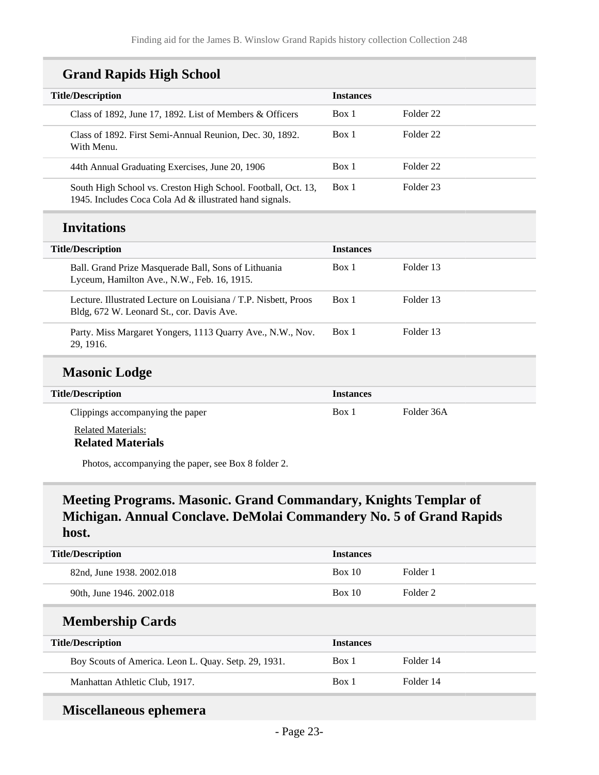### **Grand Rapids High School**

| <b>Title/Description</b>                                                                                                 | <b>Instances</b> |                      |
|--------------------------------------------------------------------------------------------------------------------------|------------------|----------------------|
| Class of 1892, June 17, 1892. List of Members $\&$ Officers                                                              | Box 1            | Folder <sub>22</sub> |
| Class of 1892. First Semi-Annual Reunion, Dec. 30, 1892.<br>With Menu.                                                   | Box 1            | Folder <sub>22</sub> |
| 44th Annual Graduating Exercises, June 20, 1906                                                                          | Box 1            | Folder <sub>22</sub> |
| South High School vs. Creston High School. Football, Oct. 13,<br>1945. Includes Coca Cola Ad & illustrated hand signals. | Box 1            | Folder <sub>23</sub> |
| <b>Invitations</b>                                                                                                       |                  |                      |
| <b>Title/Description</b>                                                                                                 | <b>Instances</b> |                      |
| Ball. Grand Prize Masquerade Ball, Sons of Lithuania<br>Lyceum, Hamilton Ave., N.W., Feb. 16, 1915.                      | Box 1            | Folder 13            |
|                                                                                                                          |                  |                      |
| Lecture. Illustrated Lecture on Louisiana / T.P. Nisbett, Proos<br>Bldg, 672 W. Leonard St., cor. Davis Ave.             | Box 1            | Folder 13            |

### **Masonic Lodge**

| <b>Title/Description</b>                              | <b>Instances</b> |            |
|-------------------------------------------------------|------------------|------------|
| Clippings accompanying the paper                      | Box 1            | Folder 36A |
| <b>Related Materials:</b><br><b>Related Materials</b> |                  |            |

Photos, accompanying the paper, see Box 8 folder 2.

## **Meeting Programs. Masonic. Grand Commandary, Knights Templar of Michigan. Annual Conclave. DeMolai Commandery No. 5 of Grand Rapids host.**

| <b>Title/Description</b>                             | <b>Instances</b> |           |
|------------------------------------------------------|------------------|-----------|
| 82nd, June 1938. 2002.018                            | Box 10           | Folder 1  |
| 90th, June 1946. 2002.018                            | Box 10           | Folder 2  |
| <b>Membership Cards</b>                              |                  |           |
| <b>Title/Description</b>                             | <b>Instances</b> |           |
| Boy Scouts of America. Leon L. Quay. Setp. 29, 1931. | Box 1            | Folder 14 |
| Manhattan Athletic Club, 1917.                       | Box 1            | Folder 14 |

### **Miscellaneous ephemera**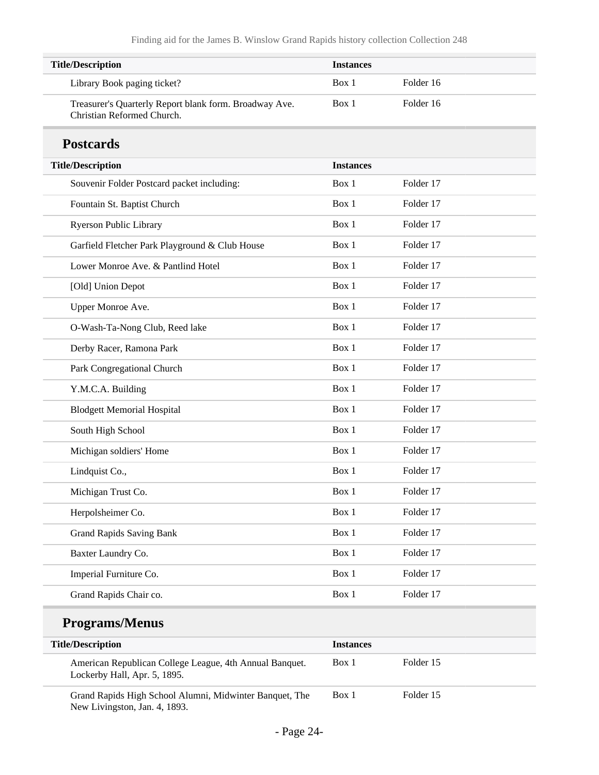| <b>Title/Description</b>                                                             | <b>Instances</b> |           |
|--------------------------------------------------------------------------------------|------------------|-----------|
| Library Book paging ticket?                                                          | Box 1            | Folder 16 |
| Treasurer's Quarterly Report blank form. Broadway Ave.<br>Christian Reformed Church. | Box 1            | Folder 16 |
| <b>Postcards</b>                                                                     |                  |           |
| <b>Title/Description</b>                                                             | <b>Instances</b> |           |
| Souvenir Folder Postcard packet including:                                           | Box 1            | Folder 17 |
| Fountain St. Baptist Church                                                          | Box 1            | Folder 17 |
| Ryerson Public Library                                                               | Box 1            | Folder 17 |
| Garfield Fletcher Park Playground & Club House                                       | Box 1            | Folder 17 |
| Lower Monroe Ave. & Pantlind Hotel                                                   | Box 1            | Folder 17 |
| [Old] Union Depot                                                                    | Box 1            | Folder 17 |
| Upper Monroe Ave.                                                                    | Box 1            | Folder 17 |
| O-Wash-Ta-Nong Club, Reed lake                                                       | Box 1            | Folder 17 |
| Derby Racer, Ramona Park                                                             | Box 1            | Folder 17 |
| Park Congregational Church                                                           | Box 1            | Folder 17 |
| Y.M.C.A. Building                                                                    | Box 1            | Folder 17 |
| <b>Blodgett Memorial Hospital</b>                                                    | Box 1            | Folder 17 |
| South High School                                                                    | Box 1            | Folder 17 |
| Michigan soldiers' Home                                                              | Box 1            | Folder 17 |
| Lindquist Co.,                                                                       | Box 1            | Folder 17 |
| Michigan Trust Co.                                                                   | Box 1            | Folder 17 |
| Herpolsheimer Co.                                                                    | Box 1            | Folder 17 |
| <b>Grand Rapids Saving Bank</b>                                                      | Box 1            | Folder 17 |
| Baxter Laundry Co.                                                                   | Box 1            | Folder 17 |
| Imperial Furniture Co.                                                               | Box 1            | Folder 17 |
| Grand Rapids Chair co.                                                               | Box 1            | Folder 17 |
| <b>Programs/Menus</b>                                                                |                  |           |
| <b>Title/Description</b>                                                             | <b>Instances</b> |           |
| American Republican College League, 4th Annual Banquet.                              | Box 1            | Folder 15 |

Grand Rapids High School Alumni, Midwinter Banquet, The New Livingston, Jan. 4, 1893.

Lockerby Hall, Apr. 5, 1895.

Box 1 Folder 15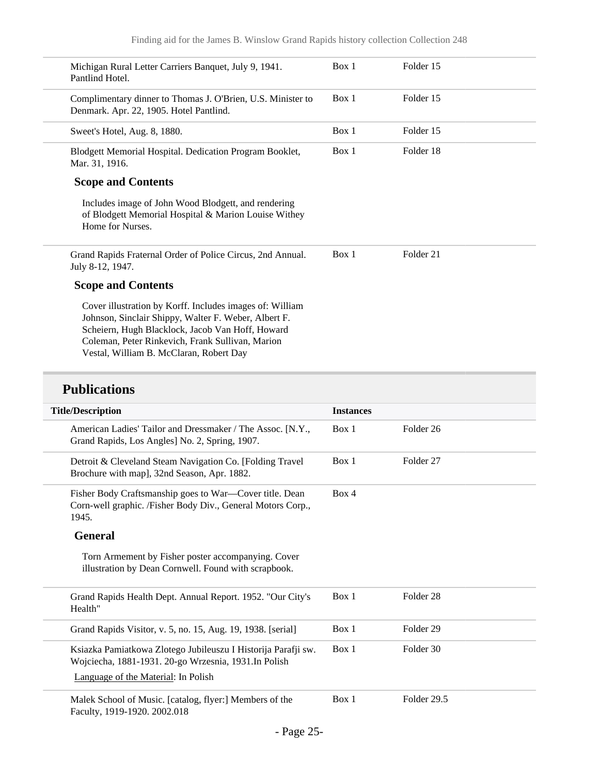| Michigan Rural Letter Carriers Banquet, July 9, 1941.<br>Pantlind Hotel.                                                                                                                                                                                            | Box 1 | Folder 15            |  |
|---------------------------------------------------------------------------------------------------------------------------------------------------------------------------------------------------------------------------------------------------------------------|-------|----------------------|--|
| Complimentary dinner to Thomas J. O'Brien, U.S. Minister to<br>Denmark. Apr. 22, 1905. Hotel Pantlind.                                                                                                                                                              | Box 1 | Folder 15            |  |
| Sweet's Hotel, Aug. 8, 1880.                                                                                                                                                                                                                                        | Box 1 | Folder 15            |  |
| Blodgett Memorial Hospital. Dedication Program Booklet,<br>Mar. 31, 1916.                                                                                                                                                                                           | Box 1 | Folder 18            |  |
| <b>Scope and Contents</b>                                                                                                                                                                                                                                           |       |                      |  |
| Includes image of John Wood Blodgett, and rendering<br>of Blodgett Memorial Hospital & Marion Louise Withey<br>Home for Nurses.                                                                                                                                     |       |                      |  |
| Grand Rapids Fraternal Order of Police Circus, 2nd Annual.<br>July 8-12, 1947.                                                                                                                                                                                      | Box 1 | Folder <sub>21</sub> |  |
| <b>Scope and Contents</b>                                                                                                                                                                                                                                           |       |                      |  |
| Cover illustration by Korff. Includes images of: William<br>Johnson, Sinclair Shippy, Walter F. Weber, Albert F.<br>Scheiern, Hugh Blacklock, Jacob Van Hoff, Howard<br>Coleman, Peter Rinkevich, Frank Sullivan, Marion<br>Vestal, William B. McClaran, Robert Day |       |                      |  |

# **Publications**

| <b>Title/Description</b>                                                                                                                                      | <b>Instances</b> |                      |
|---------------------------------------------------------------------------------------------------------------------------------------------------------------|------------------|----------------------|
| American Ladies' Tailor and Dressmaker / The Assoc. [N.Y.,<br>Grand Rapids, Los Angles] No. 2, Spring, 1907.                                                  | Box 1            | Folder <sub>26</sub> |
| Detroit & Cleveland Steam Navigation Co. [Folding Travel]<br>Brochure with map], 32nd Season, Apr. 1882.                                                      | Box 1            | Folder 27            |
| Fisher Body Craftsmanship goes to War—Cover title. Dean<br>Corn-well graphic. /Fisher Body Div., General Motors Corp.,<br>1945.                               | Box 4            |                      |
| <b>General</b>                                                                                                                                                |                  |                      |
| Torn Armement by Fisher poster accompanying. Cover<br>illustration by Dean Cornwell. Found with scrapbook.                                                    |                  |                      |
| Grand Rapids Health Dept. Annual Report. 1952. "Our City's<br>Health"                                                                                         | Box 1            | Folder <sub>28</sub> |
| Grand Rapids Visitor, v. 5, no. 15, Aug. 19, 1938. [serial]                                                                                                   | Box 1            | Folder <sub>29</sub> |
| Ksiazka Pamiatkowa Zlotego Jubileuszu I Historija Parafji sw.<br>Wojciecha, 1881-1931. 20-go Wrzesnia, 1931. In Polish<br>Language of the Material: In Polish | Box 1            | Folder 30            |
| Malek School of Music. [catalog, flyer:] Members of the<br>Faculty, 1919-1920. 2002.018                                                                       | Box 1            | Folder 29.5          |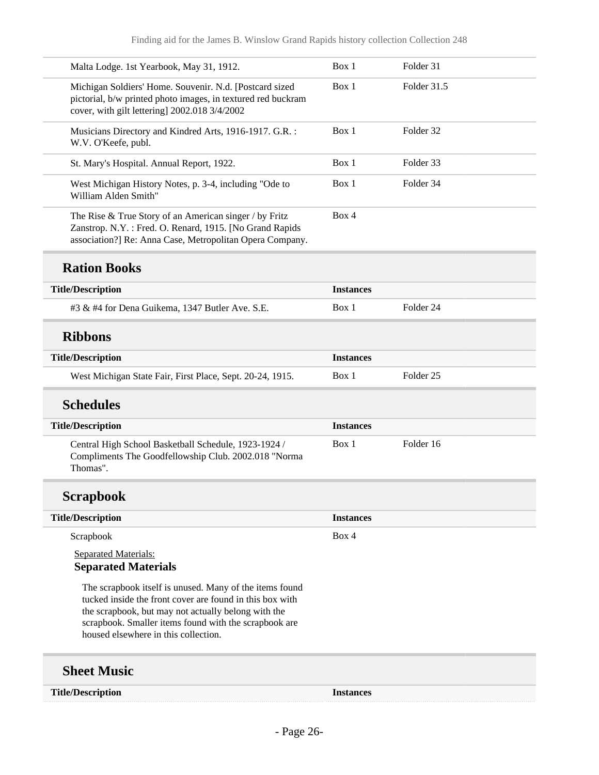| Malta Lodge. 1st Yearbook, May 31, 1912.                                                                                                                                      | Box 1            | Folder 31            |
|-------------------------------------------------------------------------------------------------------------------------------------------------------------------------------|------------------|----------------------|
| Michigan Soldiers' Home. Souvenir. N.d. [Postcard sized<br>pictorial, b/w printed photo images, in textured red buckram<br>cover, with gilt lettering] 2002.018 3/4/2002      | Box 1            | Folder 31.5          |
| Musicians Directory and Kindred Arts, 1916-1917. G.R. :<br>W.V. O'Keefe, publ.                                                                                                | Box 1            | Folder 32            |
| St. Mary's Hospital. Annual Report, 1922.                                                                                                                                     | Box 1            | Folder 33            |
| West Michigan History Notes, p. 3-4, including "Ode to<br>William Alden Smith"                                                                                                | Box 1            | Folder 34            |
| The Rise & True Story of an American singer / by Fritz<br>Zanstrop. N.Y.: Fred. O. Renard, 1915. [No Grand Rapids<br>association?] Re: Anna Case, Metropolitan Opera Company. | Box 4            |                      |
| <b>Ration Books</b>                                                                                                                                                           |                  |                      |
| <b>Title/Description</b>                                                                                                                                                      | <b>Instances</b> |                      |
| #3 & #4 for Dena Guikema, 1347 Butler Ave. S.E.                                                                                                                               | Box 1            | Folder <sub>24</sub> |
| <b>Ribbons</b>                                                                                                                                                                |                  |                      |
| <b>Title/Description</b>                                                                                                                                                      | <b>Instances</b> |                      |
| West Michigan State Fair, First Place, Sept. 20-24, 1915.                                                                                                                     | Box 1            | Folder <sub>25</sub> |
|                                                                                                                                                                               |                  |                      |
| <b>Schedules</b>                                                                                                                                                              |                  |                      |
| <b>Title/Description</b>                                                                                                                                                      | <b>Instances</b> |                      |
| Central High School Basketball Schedule, 1923-1924 /<br>Compliments The Goodfellowship Club. 2002.018 "Norma<br>Thomas".                                                      | Box 1            | Folder 16            |
| <b>Scrapbook</b>                                                                                                                                                              |                  |                      |
| <b>Title/Description</b>                                                                                                                                                      | <b>Instances</b> |                      |
| Scrapbook                                                                                                                                                                     | Box 4            |                      |
| <b>Separated Materials:</b><br><b>Separated Materials</b>                                                                                                                     |                  |                      |

**Title/Description Instances**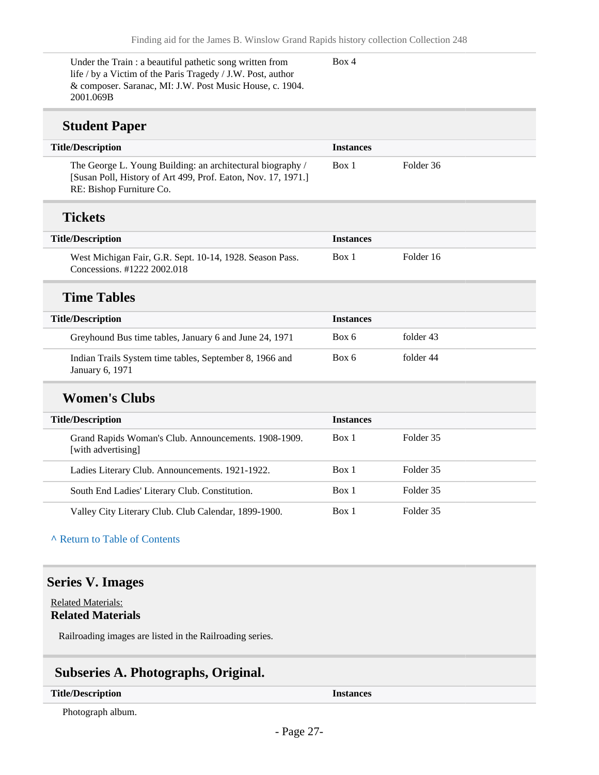Under the Train : a beautiful pathetic song written from life / by a Victim of the Paris Tragedy / J.W. Post, author & composer. Saranac, MI: J.W. Post Music House, c. 1904. 2001.069B

Box 4

### **Student Paper**

| $\cdots$ where $\cdots$                                                                                                                                 |                  |           |  |
|---------------------------------------------------------------------------------------------------------------------------------------------------------|------------------|-----------|--|
| <b>Title/Description</b>                                                                                                                                | <b>Instances</b> |           |  |
| The George L. Young Building: an architectural biography /<br>[Susan Poll, History of Art 499, Prof. Eaton, Nov. 17, 1971.]<br>RE: Bishop Furniture Co. | Box 1            | Folder 36 |  |
| <b>Tickets</b>                                                                                                                                          |                  |           |  |
| <b>Title/Description</b>                                                                                                                                | <b>Instances</b> |           |  |
| West Michigan Fair, G.R. Sept. 10-14, 1928. Season Pass.<br>Concessions, #1222 2002.018                                                                 | Box 1            | Folder 16 |  |
| <b>Time Tables</b>                                                                                                                                      |                  |           |  |
| <b>Title/Description</b>                                                                                                                                | <b>Instances</b> |           |  |
| Greyhound Bus time tables, January 6 and June 24, 1971                                                                                                  | Box 6            | folder 43 |  |
| Indian Trails System time tables, September 8, 1966 and<br>January 6, 1971                                                                              | Box 6            | folder 44 |  |
| <b>Women's Clubs</b>                                                                                                                                    |                  |           |  |
| <b>Title/Description</b>                                                                                                                                | <b>Instances</b> |           |  |
| Grand Rapids Woman's Club. Announcements. 1908-1909.<br>[with advertising]                                                                              | Box 1            | Folder 35 |  |

| [with advertising]                                   |       |           |  |
|------------------------------------------------------|-------|-----------|--|
| Ladies Literary Club. Announcements. 1921-1922.      | Box 1 | Folder 35 |  |
| South End Ladies' Literary Club. Constitution.       | Box 1 | Folder 35 |  |
| Valley City Literary Club. Club Calendar, 1899-1900. | Box 1 | Folder 35 |  |

#### **^** [Return to Table of Contents](#page-1-0)

### <span id="page-26-0"></span>**Series V. Images**

Related Materials: **Related Materials**

Railroading images are listed in the Railroading series.

## <span id="page-26-1"></span>**Subseries A. Photographs, Original.**

#### **Title/Description Instances**

Photograph album.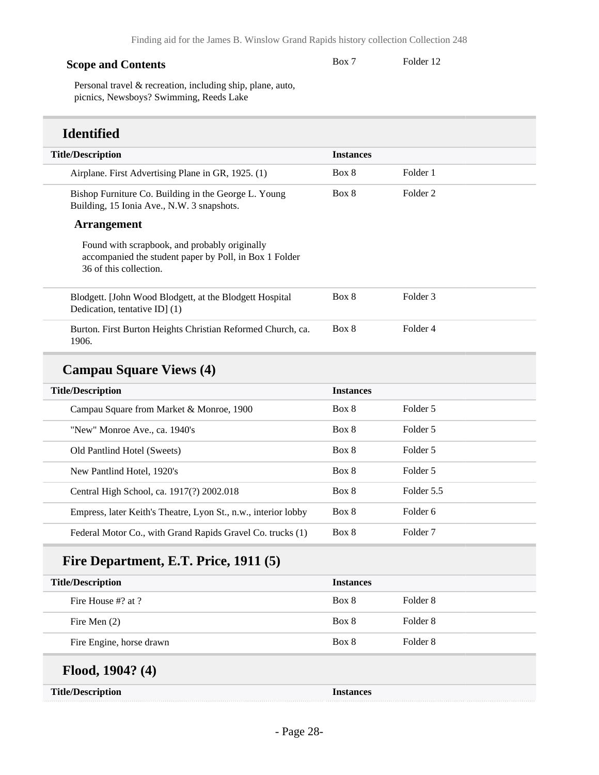#### **Scope and Contents**

Box 7 Folder 12

Personal travel & recreation, including ship, plane, auto, picnics, Newsboys? Swimming, Reeds Lake

### **Identified**

| <b>Instances</b> |                     |
|------------------|---------------------|
| Box 8            | Folder 1            |
| Box 8            | Folder <sub>2</sub> |
|                  |                     |
|                  |                     |
| Box 8            | Folder 3            |
| Box 8            | Folder 4            |
|                  |                     |
| <b>Instances</b> |                     |
| Box 8            | Folder 5            |
| Box 8            | Folder 5            |
| Box 8            | Folder 5            |
| Box 8            | Folder 5            |
| Box 8            | Folder 5.5          |
| Box 8            | Folder 6            |
| Box 8            | Folder <sub>7</sub> |
|                  |                     |
| <b>Instances</b> |                     |
| Box 8            | Folder <sub>8</sub> |
|                  |                     |

Fire Men (2) Box 8 Folder 8

Fire Engine, horse drawn Box 8 Folder 8

## **Flood, 1904? (4)**

| <b>Title/Description</b> | nstances |
|--------------------------|----------|
|                          |          |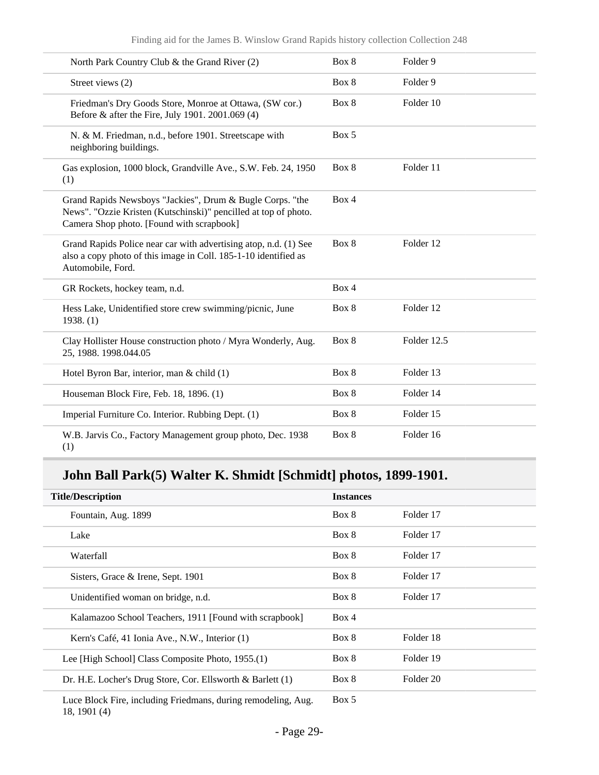| North Park Country Club & the Grand River (2)                                                                                                                             | Box 8 | Folder 9    |
|---------------------------------------------------------------------------------------------------------------------------------------------------------------------------|-------|-------------|
| Street views (2)                                                                                                                                                          | Box 8 | Folder 9    |
| Friedman's Dry Goods Store, Monroe at Ottawa, (SW cor.)<br>Before & after the Fire, July 1901. 2001.069 (4)                                                               | Box 8 | Folder 10   |
| N. & M. Friedman, n.d., before 1901. Streetscape with<br>neighboring buildings.                                                                                           | Box 5 |             |
| Gas explosion, 1000 block, Grandville Ave., S.W. Feb. 24, 1950<br>(1)                                                                                                     | Box 8 | Folder 11   |
| Grand Rapids Newsboys "Jackies", Drum & Bugle Corps. "the<br>News". "Ozzie Kristen (Kutschinski)" pencilled at top of photo.<br>Camera Shop photo. [Found with scrapbook] | Box 4 |             |
| Grand Rapids Police near car with advertising atop, n.d. (1) See<br>also a copy photo of this image in Coll. 185-1-10 identified as<br>Automobile, Ford.                  | Box 8 | Folder 12   |
| GR Rockets, hockey team, n.d.                                                                                                                                             | Box 4 |             |
| Hess Lake, Unidentified store crew swimming/picnic, June<br>1938. (1)                                                                                                     | Box 8 | Folder 12   |
| Clay Hollister House construction photo / Myra Wonderly, Aug.<br>25, 1988. 1998.044.05                                                                                    | Box 8 | Folder 12.5 |
| Hotel Byron Bar, interior, man & child (1)                                                                                                                                | Box 8 | Folder 13   |
| Houseman Block Fire, Feb. 18, 1896. (1)                                                                                                                                   | Box 8 | Folder 14   |
| Imperial Furniture Co. Interior. Rubbing Dept. (1)                                                                                                                        | Box 8 | Folder 15   |
| W.B. Jarvis Co., Factory Management group photo, Dec. 1938<br>(1)                                                                                                         | Box 8 | Folder 16   |

# **John Ball Park(5) Walter K. Shmidt [Schmidt] photos, 1899-1901.**

| <b>Title/Description</b>                                      | <b>Instances</b> |           |
|---------------------------------------------------------------|------------------|-----------|
| Fountain, Aug. 1899                                           | Box 8            | Folder 17 |
| Lake                                                          | Box 8            | Folder 17 |
| Waterfall                                                     | Box 8            | Folder 17 |
| Sisters, Grace & Irene, Sept. 1901                            | Box 8            | Folder 17 |
| Unidentified woman on bridge, n.d.                            | Box 8            | Folder 17 |
| Kalamazoo School Teachers, 1911 [Found with scrapbook]        | Box 4            |           |
| Kern's Café, 41 Ionia Ave., N.W., Interior (1)                | Box 8            | Folder 18 |
| Lee [High School] Class Composite Photo, 1955.(1)             | Box 8            | Folder 19 |
| Dr. H.E. Locher's Drug Store, Cor. Ellsworth & Barlett (1)    | Box 8            | Folder 20 |
| Luce Block Fire, including Friedmans, during remodeling, Aug. | Box 5            |           |

18, 1901 (4)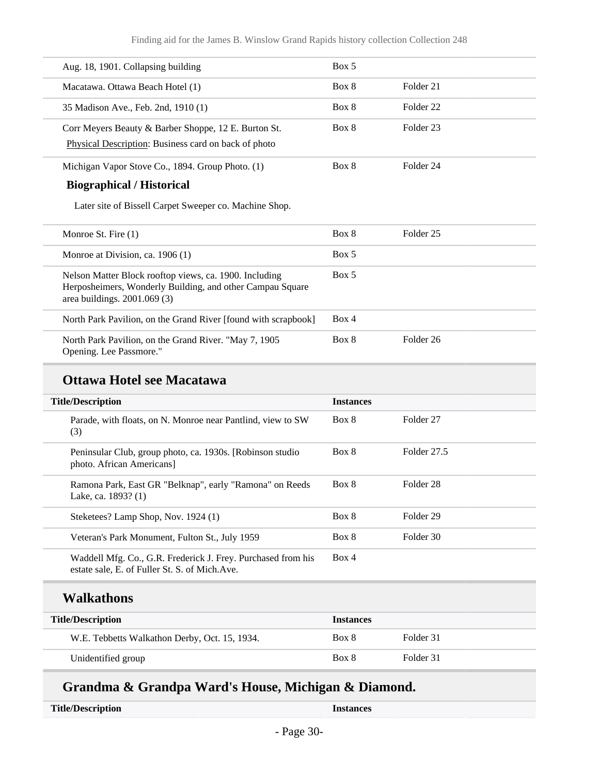#### Finding aid for the James B. Winslow Grand Rapids history collection Collection 248

| Aug. 18, 1901. Collapsing building                                                                           | Box 5 |           |  |
|--------------------------------------------------------------------------------------------------------------|-------|-----------|--|
| Macatawa. Ottawa Beach Hotel (1)                                                                             | Box 8 | Folder 21 |  |
| 35 Madison Ave., Feb. 2nd, 1910 (1)                                                                          | Box 8 | Folder 22 |  |
| Corr Meyers Beauty & Barber Shoppe, 12 E. Burton St.<br>Physical Description: Business card on back of photo | Box 8 | Folder 23 |  |
| Michigan Vapor Stove Co., 1894. Group Photo. (1)                                                             | Box 8 | Folder 24 |  |

#### **Biographical / Historical**

Later site of Bissell Carpet Sweeper co. Machine Shop.

| Monroe St. Fire $(1)$                                                                                                                                | Box 8 | Folder 25 |
|------------------------------------------------------------------------------------------------------------------------------------------------------|-------|-----------|
| Monroe at Division, ca. $1906(1)$                                                                                                                    | Box 5 |           |
| Nelson Matter Block rooftop views, ca. 1900. Including<br>Herposheimers, Wonderly Building, and other Campau Square<br>area buildings. $2001.069(3)$ | Box 5 |           |
| North Park Pavilion, on the Grand River [found with scrapbook]                                                                                       | Box 4 |           |
| North Park Pavilion, on the Grand River. "May 7, 1905<br>Opening. Lee Passmore."                                                                     | Box 8 | Folder 26 |

### **Ottawa Hotel see Macatawa**

| <b>Title/Description</b>                                                                                       |       | <b>Instances</b> |  |
|----------------------------------------------------------------------------------------------------------------|-------|------------------|--|
| Parade, with floats, on N. Monroe near Pantlind, view to SW<br>(3)                                             | Box 8 | Folder 27        |  |
| Peninsular Club, group photo, ca. 1930s. [Robinson studio]<br>photo. African Americans]                        | Box 8 | Folder 27.5      |  |
| Ramona Park, East GR "Belknap", early "Ramona" on Reeds<br>Lake, ca. 1893? (1)                                 | Box 8 | Folder 28        |  |
| Steketees? Lamp Shop, Nov. 1924 (1)                                                                            | Box 8 | Folder 29        |  |
| Veteran's Park Monument, Fulton St., July 1959                                                                 | Box 8 | Folder 30        |  |
| Waddell Mfg. Co., G.R. Frederick J. Frey. Purchased from his<br>estate sale, E. of Fuller St. S. of Mich. Ave. | Box 4 |                  |  |

#### **Walkathons**

| <b>Title/Description</b>                      | <b>Instances</b> |           |
|-----------------------------------------------|------------------|-----------|
| W.E. Tebbetts Walkathon Derby, Oct. 15, 1934. | Box 8            | Folder 31 |
| Unidentified group                            | Box 8            | Folder 31 |

## **Grandma & Grandpa Ward's House, Michigan & Diamond.**

|  | <b>Title/Description</b> |
|--|--------------------------|
|--|--------------------------|

**Title Instances**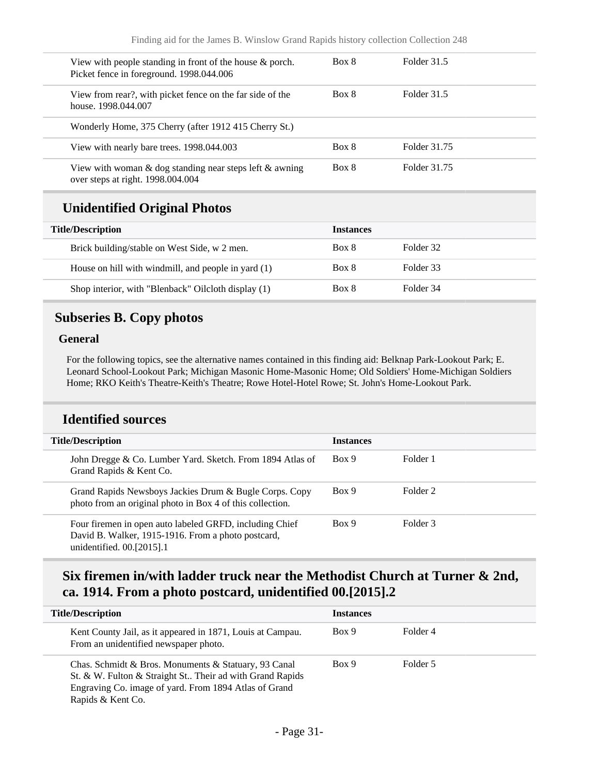| Box 8 | Folder 31.5  |  |
|-------|--------------|--|
| Box 8 | Folder 31.5  |  |
|       |              |  |
| Box 8 | Folder 31.75 |  |
| Box 8 | Folder 31.75 |  |
|       |              |  |

## **Unidentified Original Photos**

| <b>Title/Description</b>                            | <b>Instances</b> |           |
|-----------------------------------------------------|------------------|-----------|
| Brick building/stable on West Side, w 2 men.        | Box 8            | Folder 32 |
| House on hill with windmill, and people in yard (1) | Box 8            | Folder 33 |
| Shop interior, with "Blenback" Oilcloth display (1) | Box 8            | Folder 34 |

### <span id="page-30-0"></span>**Subseries B. Copy photos**

#### **General**

For the following topics, see the alternative names contained in this finding aid: Belknap Park-Lookout Park; E. Leonard School-Lookout Park; Michigan Masonic Home-Masonic Home; Old Soldiers' Home-Michigan Soldiers Home; RKO Keith's Theatre-Keith's Theatre; Rowe Hotel-Hotel Rowe; St. John's Home-Lookout Park.

#### **Identified sources**

| <b>Title/Description</b>                                                                                                                   | <b>Instances</b> |          |  |
|--------------------------------------------------------------------------------------------------------------------------------------------|------------------|----------|--|
| John Dregge & Co. Lumber Yard. Sketch. From 1894 Atlas of<br>Grand Rapids & Kent Co.                                                       | Box 9            | Folder 1 |  |
| Grand Rapids Newsboys Jackies Drum & Bugle Corps. Copy<br>photo from an original photo in Box 4 of this collection.                        | Box 9            | Folder 2 |  |
| Four firemen in open auto labeled GRFD, including Chief<br>David B. Walker, 1915-1916. From a photo postcard,<br>unidentified. 00.[2015].1 | Box 9            | Folder 3 |  |

## **Six firemen in/with ladder truck near the Methodist Church at Turner & 2nd, ca. 1914. From a photo postcard, unidentified 00.[2015].2**

| <b>Title/Description</b>                                                                                                                                                                       | <b>Instances</b> |          |
|------------------------------------------------------------------------------------------------------------------------------------------------------------------------------------------------|------------------|----------|
| Kent County Jail, as it appeared in 1871, Louis at Campau.<br>From an unidentified newspaper photo.                                                                                            | Box 9            | Folder 4 |
| Chas. Schmidt & Bros. Monuments & Statuary, 93 Canal<br>St. & W. Fulton & Straight St Their ad with Grand Rapids<br>Engraving Co. image of yard. From 1894 Atlas of Grand<br>Rapids & Kent Co. | Box 9            | Folder 5 |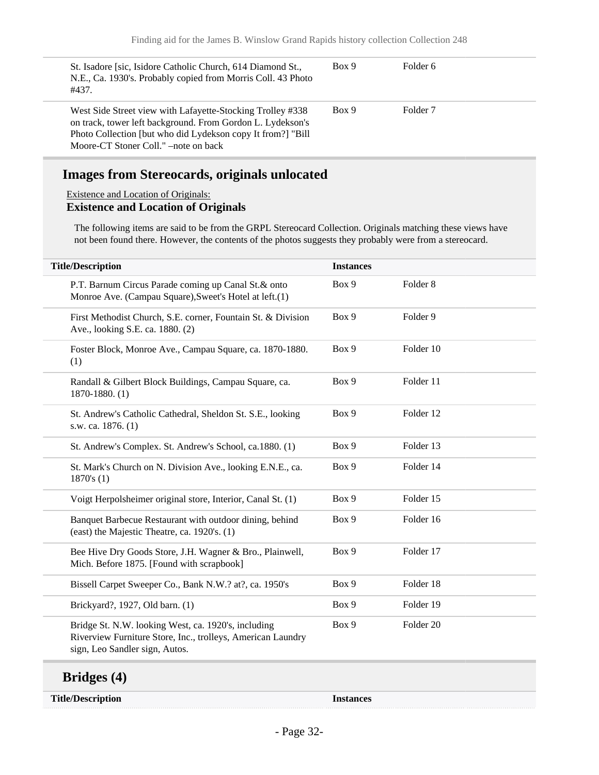| St. Isadore [sic, Isidore Catholic Church, 614 Diamond St.,<br>N.E., Ca. 1930's. Probably copied from Morris Coll. 43 Photo<br>#437.                                                                                             | Box 9 | Folder 6            |  |
|----------------------------------------------------------------------------------------------------------------------------------------------------------------------------------------------------------------------------------|-------|---------------------|--|
| West Side Street view with Lafayette-Stocking Trolley #338<br>on track, tower left background. From Gordon L. Lydekson's<br>Photo Collection [but who did Lydekson copy It from?] "Bill"<br>Moore-CT Stoner Coll." –note on back | Box 9 | Folder <sub>7</sub> |  |

## **Images from Stereocards, originals unlocated**

#### Existence and Location of Originals:

#### **Existence and Location of Originals**

The following items are said to be from the GRPL Stereocard Collection. Originals matching these views have not been found there. However, the contents of the photos suggests they probably were from a stereocard.

| <b>Title/Description</b>                                                                                                                             | <b>Instances</b> |                     |
|------------------------------------------------------------------------------------------------------------------------------------------------------|------------------|---------------------|
| P.T. Barnum Circus Parade coming up Canal St.& onto<br>Monroe Ave. (Campau Square), Sweet's Hotel at left.(1)                                        | Box 9            | Folder <sub>8</sub> |
| First Methodist Church, S.E. corner, Fountain St. & Division<br>Ave., looking S.E. ca. 1880. (2)                                                     | Box 9            | Folder 9            |
| Foster Block, Monroe Ave., Campau Square, ca. 1870-1880.<br>(1)                                                                                      | Box 9            | Folder 10           |
| Randall & Gilbert Block Buildings, Campau Square, ca.<br>1870-1880. (1)                                                                              | Box 9            | Folder 11           |
| St. Andrew's Catholic Cathedral, Sheldon St. S.E., looking<br>s.w. ca. 1876. (1)                                                                     | Box 9            | Folder 12           |
| St. Andrew's Complex. St. Andrew's School, ca.1880. (1)                                                                                              | Box 9            | Folder 13           |
| St. Mark's Church on N. Division Ave., looking E.N.E., ca.<br>1870's(1)                                                                              | Box 9            | Folder 14           |
| Voigt Herpolsheimer original store, Interior, Canal St. (1)                                                                                          | Box 9            | Folder 15           |
| Banquet Barbecue Restaurant with outdoor dining, behind<br>(east) the Majestic Theatre, ca. 1920's. (1)                                              | Box 9            | Folder 16           |
| Bee Hive Dry Goods Store, J.H. Wagner & Bro., Plainwell,<br>Mich. Before 1875. [Found with scrapbook]                                                | Box 9            | Folder 17           |
| Bissell Carpet Sweeper Co., Bank N.W.? at?, ca. 1950's                                                                                               | Box 9            | Folder 18           |
| Brickyard?, 1927, Old barn. (1)                                                                                                                      | Box 9            | Folder 19           |
| Bridge St. N.W. looking West, ca. 1920's, including<br>Riverview Furniture Store, Inc., trolleys, American Laundry<br>sign, Leo Sandler sign, Autos. | Box 9            | Folder 20           |

#### **Bridges (4)**

**Title/Description Instances**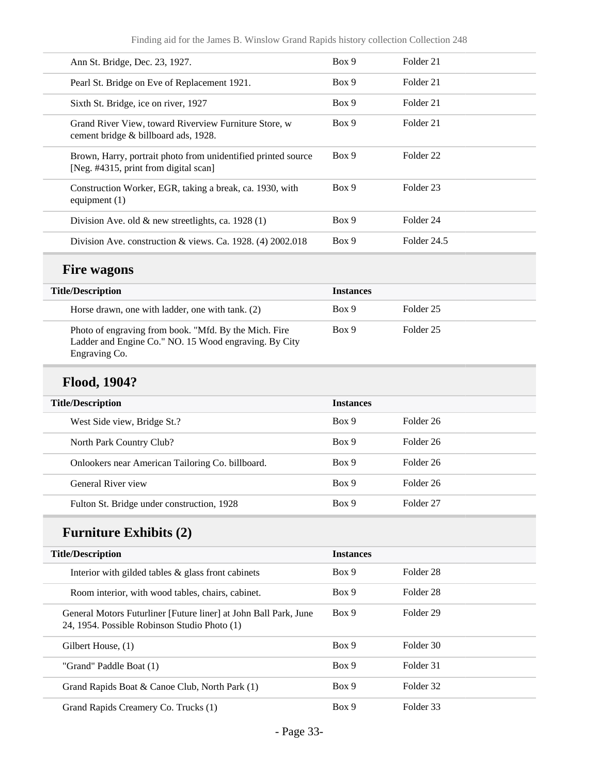| Ann St. Bridge, Dec. 23, 1927.                                                                         | Box 9 | Folder 21            |
|--------------------------------------------------------------------------------------------------------|-------|----------------------|
| Pearl St. Bridge on Eve of Replacement 1921.                                                           | Box 9 | Folder 21            |
| Sixth St. Bridge, ice on river, 1927                                                                   | Box 9 | Folder 21            |
| Grand River View, toward Riverview Furniture Store, w<br>cement bridge & billboard ads, 1928.          | Box 9 | Folder 21            |
| Brown, Harry, portrait photo from unidentified printed source<br>[Neg. #4315, print from digital scan] | Box 9 | Folder <sub>22</sub> |
| Construction Worker, EGR, taking a break, ca. 1930, with<br>equipment $(1)$                            | Box 9 | Folder 23            |
| Division Ave. old $\&$ new streetlights, ca. 1928 (1)                                                  | Box 9 | Folder 24            |
| Division Ave. construction & views. Ca. 1928. $(4)$ 2002.018                                           | Box 9 | Folder 24.5          |

### **Fire wagons**

| <b>Title/Description</b> |                                                                                                                                 | <b>Instances</b> |           |
|--------------------------|---------------------------------------------------------------------------------------------------------------------------------|------------------|-----------|
|                          | Horse drawn, one with ladder, one with tank. (2)                                                                                | Box 9            | Folder 25 |
|                          | Photo of engraving from book. "Mfd. By the Mich. Fire<br>Ladder and Engine Co." NO. 15 Wood engraving. By City<br>Engraving Co. | Box 9            | Folder 25 |

# **Flood, 1904?**

| <b>Title/Description</b>                         | <b>Instances</b> |           |
|--------------------------------------------------|------------------|-----------|
| West Side view, Bridge St.?                      | Box 9            | Folder 26 |
| North Park Country Club?                         | Box 9            | Folder 26 |
| Onlookers near American Tailoring Co. billboard. | Box 9            | Folder 26 |
| General River view                               | Box 9            | Folder 26 |
| Fulton St. Bridge under construction, 1928       | Box 9            | Folder 27 |

# **Furniture Exhibits (2)**

| <b>Title/Description</b>                                                                                         | <b>Instances</b> |           |
|------------------------------------------------------------------------------------------------------------------|------------------|-----------|
| Interior with gilded tables $\&$ glass front cabinets                                                            | Box 9            | Folder 28 |
| Room interior, with wood tables, chairs, cabinet.                                                                | Box 9            | Folder 28 |
| General Motors Futurliner [Future liner] at John Ball Park, June<br>24, 1954. Possible Robinson Studio Photo (1) | Box 9            | Folder 29 |
| Gilbert House, (1)                                                                                               | Box 9            | Folder 30 |
| "Grand" Paddle Boat (1)                                                                                          | Box 9            | Folder 31 |
| Grand Rapids Boat & Canoe Club, North Park (1)                                                                   | Box 9            | Folder 32 |
| Grand Rapids Creamery Co. Trucks (1)                                                                             | Box 9            | Folder 33 |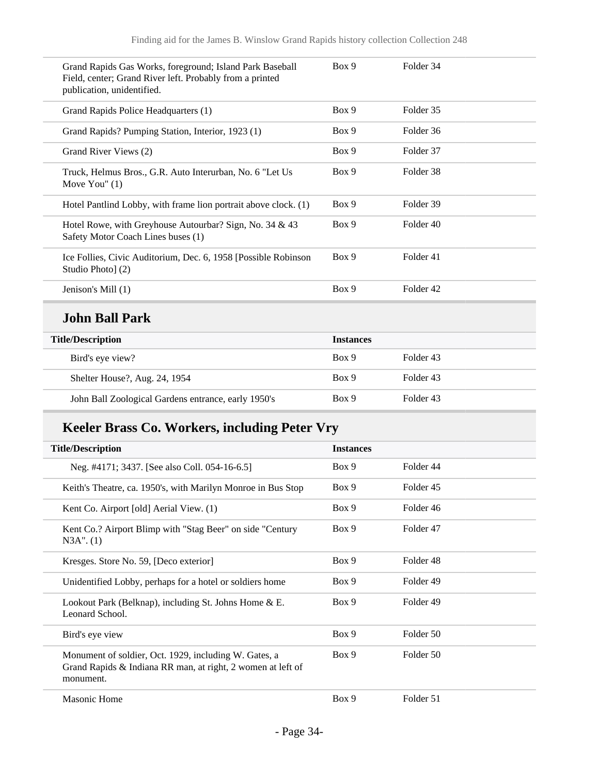| Grand Rapids Gas Works, foreground; Island Park Baseball<br>Field, center; Grand River left. Probably from a printed<br>publication, unidentified. | Box 9 | Folder 34 |
|----------------------------------------------------------------------------------------------------------------------------------------------------|-------|-----------|
| Grand Rapids Police Headquarters (1)                                                                                                               | Box 9 | Folder 35 |
| Grand Rapids? Pumping Station, Interior, 1923 (1)                                                                                                  | Box 9 | Folder 36 |
| Grand River Views (2)                                                                                                                              | Box 9 | Folder 37 |
| Truck, Helmus Bros., G.R. Auto Interurban, No. 6 "Let Us<br>Move You" $(1)$                                                                        | Box 9 | Folder 38 |
| Hotel Pantlind Lobby, with frame lion portrait above clock. (1)                                                                                    | Box 9 | Folder 39 |
| Hotel Rowe, with Greyhouse Autourbar? Sign, No. 34 $\&$ 43<br>Safety Motor Coach Lines buses (1)                                                   | Box 9 | Folder 40 |
| Ice Follies, Civic Auditorium, Dec. 6, 1958 [Possible Robinson<br>Studio Photo] (2)                                                                | Box 9 | Folder 41 |
| Jenison's Mill (1)                                                                                                                                 | Box 9 | Folder 42 |
|                                                                                                                                                    |       |           |

# **John Ball Park**

| <b>Title/Description</b>                            | <b>Instances</b> |           |
|-----------------------------------------------------|------------------|-----------|
| Bird's eye view?                                    | Box 9            | Folder 43 |
| Shelter House?, Aug. 24, 1954                       | Box 9            | Folder 43 |
| John Ball Zoological Gardens entrance, early 1950's | Box 9            | Folder 43 |

# **Keeler Brass Co. Workers, including Peter Vry**

| <b>Title/Description</b>                                                                                                          | <b>Instances</b> |           |  |
|-----------------------------------------------------------------------------------------------------------------------------------|------------------|-----------|--|
| Neg. #4171; 3437. [See also Coll. 054-16-6.5]                                                                                     | Box 9            | Folder 44 |  |
| Keith's Theatre, ca. 1950's, with Marilyn Monroe in Bus Stop                                                                      | Box 9            | Folder 45 |  |
| Kent Co. Airport [old] Aerial View. (1)                                                                                           | Box 9            | Folder 46 |  |
| Kent Co.? Airport Blimp with "Stag Beer" on side "Century<br>$N3A$ ". $(1)$                                                       | Box 9            | Folder 47 |  |
| Kresges. Store No. 59, [Deco exterior]                                                                                            | Box 9            | Folder 48 |  |
| Unidentified Lobby, perhaps for a hotel or soldiers home                                                                          | Box 9            | Folder 49 |  |
| Lookout Park (Belknap), including St. Johns Home & E.<br>Leonard School.                                                          | Box 9            | Folder 49 |  |
| Bird's eye view                                                                                                                   | Box 9            | Folder 50 |  |
| Monument of soldier, Oct. 1929, including W. Gates, a<br>Grand Rapids & Indiana RR man, at right, 2 women at left of<br>monument. | Box 9            | Folder 50 |  |
| <b>Masonic Home</b>                                                                                                               | Box 9            | Folder 51 |  |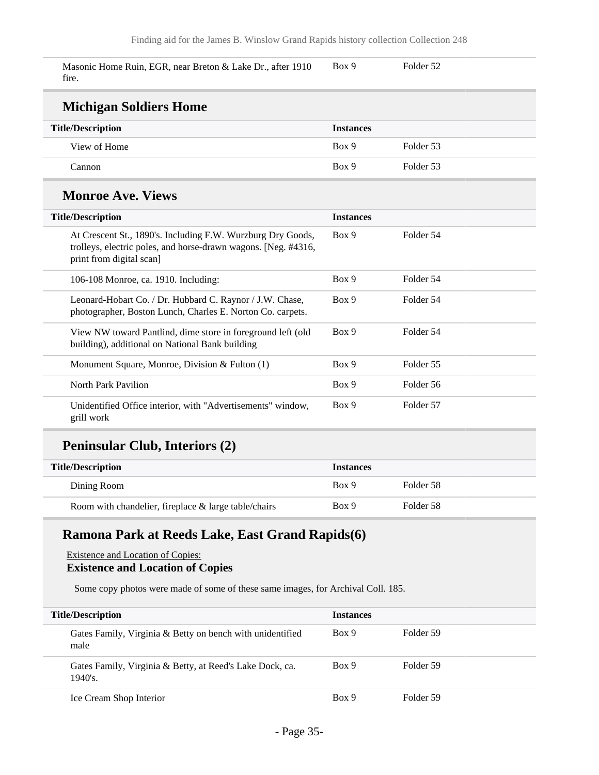Masonic Home Ruin, EGR, near Breton & Lake Dr., after 1910 fire. Box 9 Folder 52

| <b>Michigan Soldiers Home</b>                                                                                                                             |                  |           |  |  |
|-----------------------------------------------------------------------------------------------------------------------------------------------------------|------------------|-----------|--|--|
| <b>Title/Description</b>                                                                                                                                  | <b>Instances</b> |           |  |  |
| View of Home                                                                                                                                              | Box 9            | Folder 53 |  |  |
| Cannon                                                                                                                                                    | Box 9            | Folder 53 |  |  |
| <b>Monroe Ave. Views</b>                                                                                                                                  |                  |           |  |  |
| <b>Title/Description</b>                                                                                                                                  | <b>Instances</b> |           |  |  |
| At Crescent St., 1890's. Including F.W. Wurzburg Dry Goods,<br>trolleys, electric poles, and horse-drawn wagons. [Neg. #4316,<br>print from digital scan] | Box 9            | Folder 54 |  |  |
| 106-108 Monroe, ca. 1910. Including:                                                                                                                      | Box 9            | Folder 54 |  |  |
| Leonard-Hobart Co. / Dr. Hubbard C. Raynor / J.W. Chase,<br>photographer, Boston Lunch, Charles E. Norton Co. carpets.                                    | Box 9            | Folder 54 |  |  |
| View NW toward Pantlind, dime store in foreground left (old<br>building), additional on National Bank building                                            | Box 9            | Folder 54 |  |  |
| Monument Square, Monroe, Division & Fulton (1)                                                                                                            | Box 9            | Folder 55 |  |  |
| North Park Pavilion                                                                                                                                       | Box 9            | Folder 56 |  |  |
| Unidentified Office interior, with "Advertisements" window,<br>grill work                                                                                 | Box 9            | Folder 57 |  |  |

### **Peninsular Club, Interiors (2)**

| <b>Title/Description</b>                                | <b>Instances</b> |           |
|---------------------------------------------------------|------------------|-----------|
| Dining Room                                             | Box 9            | Folder 58 |
| Room with chandelier, fireplace $\&$ large table/chairs | Box 9            | Folder 58 |

### **Ramona Park at Reeds Lake, East Grand Rapids(6)**

#### Existence and Location of Copies: **Existence and Location of Copies**

Some copy photos were made of some of these same images, for Archival Coll. 185.

| <b>Title/Description</b>                                               | <b>Instances</b> |           |
|------------------------------------------------------------------------|------------------|-----------|
| Gates Family, Virginia & Betty on bench with unidentified<br>male      | Box 9            | Folder 59 |
| Gates Family, Virginia & Betty, at Reed's Lake Dock, ca.<br>$1940$ 's. | Box 9            | Folder 59 |
| Ice Cream Shop Interior                                                | Box 9            | Folder 59 |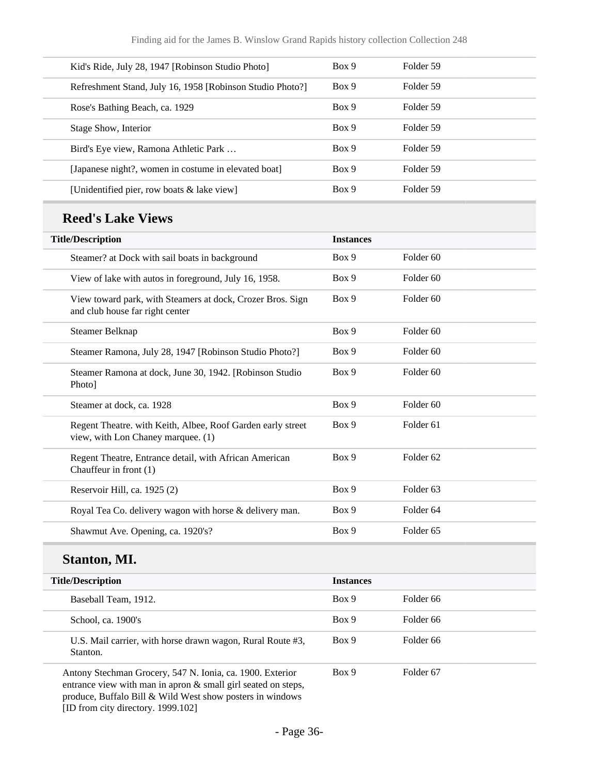| Kid's Ride, July 28, 1947 [Robinson Studio Photo]         | Box 9 | Folder 59 |
|-----------------------------------------------------------|-------|-----------|
| Refreshment Stand, July 16, 1958 [Robinson Studio Photo?] | Box 9 | Folder 59 |
| Rose's Bathing Beach, ca. 1929                            | Box 9 | Folder 59 |
| Stage Show, Interior                                      | Box 9 | Folder 59 |
| Bird's Eye view, Ramona Athletic Park                     | Box 9 | Folder 59 |
| [Japanese night?, women in costume in elevated boat]      | Box 9 | Folder 59 |
| [Unidentified pier, row boats & lake view]                | Box 9 | Folder 59 |
|                                                           |       |           |

# **Reed's Lake Views**

| <b>Title/Description</b>                                                                          | <b>Instances</b> |                      |
|---------------------------------------------------------------------------------------------------|------------------|----------------------|
| Steamer? at Dock with sail boats in background                                                    | Box 9            | Folder <sub>60</sub> |
| View of lake with autos in foreground, July 16, 1958.                                             | Box 9            | Folder <sub>60</sub> |
| View toward park, with Steamers at dock, Crozer Bros. Sign<br>and club house far right center     | Box 9            | Folder <sub>60</sub> |
| Steamer Belknap                                                                                   | Box 9            | Folder <sub>60</sub> |
| Steamer Ramona, July 28, 1947 [Robinson Studio Photo?]                                            | Box 9            | Folder <sub>60</sub> |
| Steamer Ramona at dock, June 30, 1942. [Robinson Studio<br>Photo]                                 | Box 9            | Folder <sub>60</sub> |
| Steamer at dock, ca. 1928                                                                         | Box 9            | Folder <sub>60</sub> |
| Regent Theatre. with Keith, Albee, Roof Garden early street<br>view, with Lon Chaney marquee. (1) | Box 9            | Folder <sub>61</sub> |
| Regent Theatre, Entrance detail, with African American<br>Chauffeur in front (1)                  | Box 9            | Folder <sub>62</sub> |
| Reservoir Hill, ca. 1925 (2)                                                                      | Box 9            | Folder <sub>63</sub> |
| Royal Tea Co. delivery wagon with horse & delivery man.                                           | Box 9            | Folder <sub>64</sub> |
| Shawmut Ave. Opening, ca. 1920's?                                                                 | Box 9            | Folder <sub>65</sub> |

#### **Stanton, MI.**

| <b>Title/Description</b>                                                                                                                                                                | <b>Instances</b> |                      |
|-----------------------------------------------------------------------------------------------------------------------------------------------------------------------------------------|------------------|----------------------|
| Baseball Team, 1912.                                                                                                                                                                    | Box 9            | Folder 66            |
| School, ca. 1900's                                                                                                                                                                      | Box 9            | Folder 66            |
| U.S. Mail carrier, with horse drawn wagon, Rural Route #3,<br>Stanton.                                                                                                                  | Box 9            | Folder <sub>66</sub> |
| Antony Stechman Grocery, 547 N. Ionia, ca. 1900. Exterior<br>entrance view with man in apron & small girl seated on steps,<br>produce, Buffalo Bill & Wild West show posters in windows | Box 9            | Folder <sub>67</sub> |

[ID from city directory. 1999.102]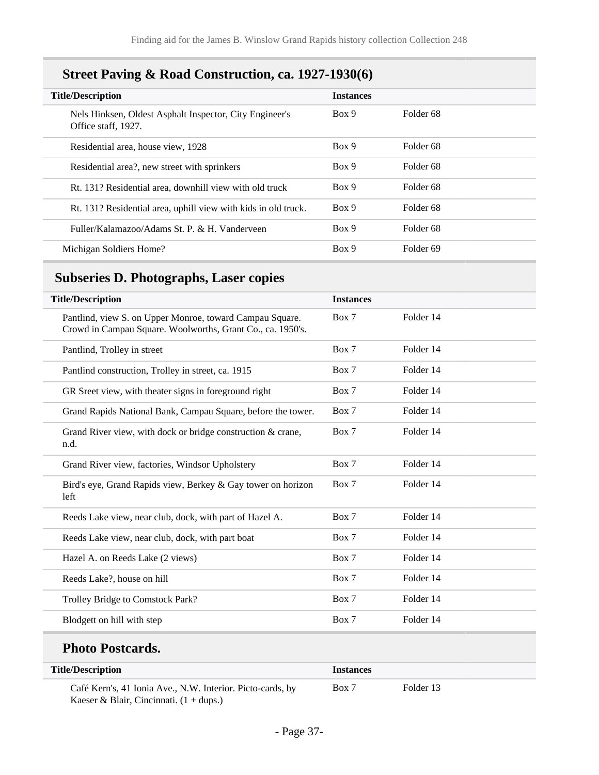# **Street Paving & Road Construction, ca. 1927-1930(6)**

| <b>Title/Description</b>                                                       | <b>Instances</b> |                      |
|--------------------------------------------------------------------------------|------------------|----------------------|
| Nels Hinksen, Oldest Asphalt Inspector, City Engineer's<br>Office staff, 1927. | Box 9            | Folder 68            |
| Residential area, house view, 1928                                             | Box 9            | Folder <sub>68</sub> |
| Residential area?, new street with sprinkers                                   | Box 9            | Folder 68            |
| Rt. 131? Residential area, downhill view with old truck                        | Box 9            | Folder 68            |
| Rt. 131? Residential area, uphill view with kids in old truck.                 | Box 9            | Folder <sub>68</sub> |
| Fuller/Kalamazoo/Adams St. P. & H. Vanderveen                                  | Box 9            | Folder 68            |
| Michigan Soldiers Home?                                                        | Box 9            | Folder <sub>69</sub> |

## <span id="page-36-0"></span>**Subseries D. Photographs, Laser copies**

| <b>Title/Description</b>                                                                                               | <b>Instances</b> |           |
|------------------------------------------------------------------------------------------------------------------------|------------------|-----------|
| Pantlind, view S. on Upper Monroe, toward Campau Square.<br>Crowd in Campau Square. Woolworths, Grant Co., ca. 1950's. | Box 7            | Folder 14 |
| Pantlind, Trolley in street                                                                                            | Box 7            | Folder 14 |
| Pantlind construction, Trolley in street, ca. 1915                                                                     | Box 7            | Folder 14 |
| GR Sreet view, with theater signs in foreground right                                                                  | Box 7            | Folder 14 |
| Grand Rapids National Bank, Campau Square, before the tower.                                                           | Box 7            | Folder 14 |
| Grand River view, with dock or bridge construction $&$ crane,<br>n.d.                                                  | Box 7            | Folder 14 |
| Grand River view, factories, Windsor Upholstery                                                                        | Box 7            | Folder 14 |
| Bird's eye, Grand Rapids view, Berkey & Gay tower on horizon<br>left                                                   | Box 7            | Folder 14 |
| Reeds Lake view, near club, dock, with part of Hazel A.                                                                | Box 7            | Folder 14 |
| Reeds Lake view, near club, dock, with part boat                                                                       | Box 7            | Folder 14 |
| Hazel A. on Reeds Lake (2 views)                                                                                       | Box 7            | Folder 14 |
| Reeds Lake?, house on hill                                                                                             | Box 7            | Folder 14 |
| Trolley Bridge to Comstock Park?                                                                                       | Box 7            | Folder 14 |
| Blodgett on hill with step                                                                                             | Box 7            | Folder 14 |

# **Photo Postcards.**

| <b>Title/Description</b>                                   | <i>Instances</i> |           |  |
|------------------------------------------------------------|------------------|-----------|--|
| Café Kern's, 41 Ionia Ave., N.W. Interior. Picto-cards, by | Box 7            | Folder 13 |  |
| Kaeser & Blair, Cincinnati. $(1 + \text{dups})$            |                  |           |  |